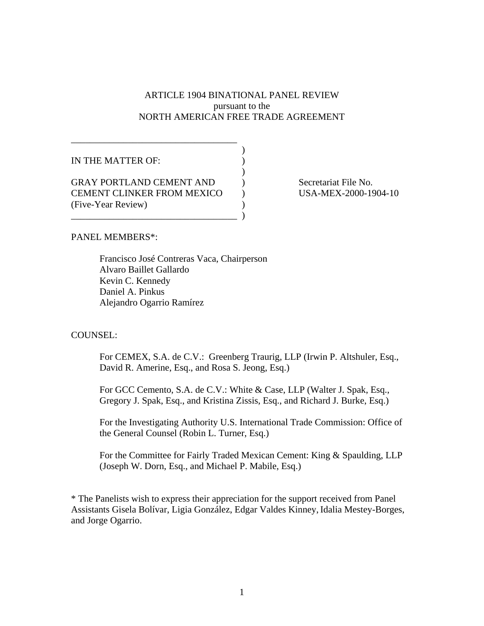# ARTICLE 1904 BINATIONAL PANEL REVIEW pursuant to the NORTH AMERICAN FREE TRADE AGREEMENT

| IN THE MATTER OF:                 |  |
|-----------------------------------|--|
|                                   |  |
| <b>GRAY PORTLAND CEMENT AND</b>   |  |
| <b>CEMENT CLINKER FROM MEXICO</b> |  |
| (Five-Year Review)                |  |
|                                   |  |

\_\_\_\_\_\_\_\_\_\_\_\_\_\_\_\_\_\_\_\_\_\_\_\_\_\_\_\_\_\_\_\_\_\_\_

Secretariat File No. USA-MEX-2000-1904-10

PANEL MEMBERS\*:

 Francisco José Contreras Vaca, Chairperson Alvaro Baillet Gallardo Kevin C. Kennedy Daniel A. Pinkus Alejandro Ogarrio Ramírez

### COUNSEL:

For CEMEX, S.A. de C.V.: Greenberg Traurig, LLP (Irwin P. Altshuler, Esq., David R. Amerine, Esq., and Rosa S. Jeong, Esq.)

For GCC Cemento, S.A. de C.V.: White & Case, LLP (Walter J. Spak, Esq., Gregory J. Spak, Esq., and Kristina Zissis, Esq., and Richard J. Burke, Esq.)

For the Investigating Authority U.S. International Trade Commission: Office of the General Counsel (Robin L. Turner, Esq.)

For the Committee for Fairly Traded Mexican Cement: King & Spaulding, LLP (Joseph W. Dorn, Esq., and Michael P. Mabile, Esq.)

\* The Panelists wish to express their appreciation for the support received from Panel Assistants Gisela Bolívar, Ligia González, Edgar Valdes Kinney, Idalia Mestey-Borges, and Jorge Ogarrio.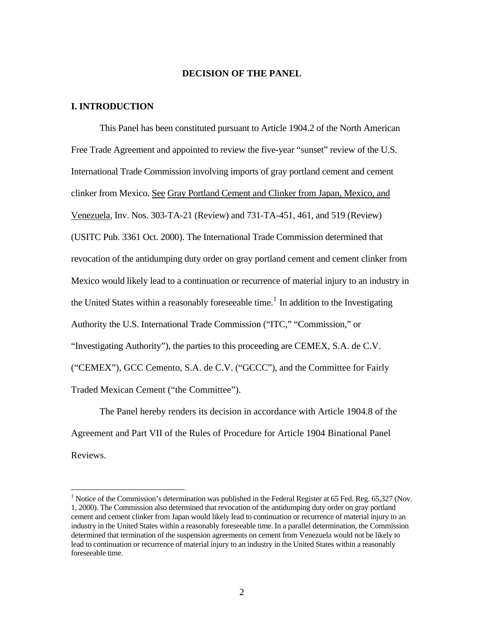#### **DECISION OF THE PANEL**

## **I. INTRODUCTION**

 $\overline{a}$ 

 This Panel has been constituted pursuant to Article 1904.2 of the North American Free Trade Agreement and appointed to review the five-year "sunset" review of the U.S. International Trade Commission involving imports of gray portland cement and cement clinker from Mexico. See Gray Portland Cement and Clinker from Japan, Mexico, and Venezuela, Inv. Nos. 303-TA-21 (Review) and 731-TA-451, 461, and 519 (Review) (USITC Pub. 3361 Oct. 2000). The International Trade Commission determined that revocation of the antidumping duty order on gray portland cement and cement clinker from Mexico would likely lead to a continuation or recurrence of material injury to an industry in the United States within a reasonably foreseeable time.<sup>[1](#page-1-0)</sup> In addition to the Investigating Authority the U.S. International Trade Commission ("ITC," "Commission," or "Investigating Authority"), the parties to this proceeding are CEMEX, S.A. de C.V. ("CEMEX"), GCC Cemento, S.A. de C.V. ("GCCC"), and the Committee for Fairly Traded Mexican Cement ("the Committee").

The Panel hereby renders its decision in accordance with Article 1904.8 of the Agreement and Part VII of the Rules of Procedure for Article 1904 Binational Panel Reviews.

<span id="page-1-0"></span><sup>&</sup>lt;sup>1</sup> Notice of the Commission's determination was published in the Federal Register at 65 Fed. Reg. 65,327 (Nov. 1, 2000). The Commission also determined that revocation of the antidumping duty order on gray portland cement and cement clinker from Japan would likely lead to continuation or recurrence of material injury to an industry in the United States within a reasonably foreseeable time. In a parallel determination, the Commission determined that termination of the suspension agreements on cement from Venezuela would not be likely to lead to continuation or recurrence of material injury to an industry in the United States within a reasonably foreseeable time.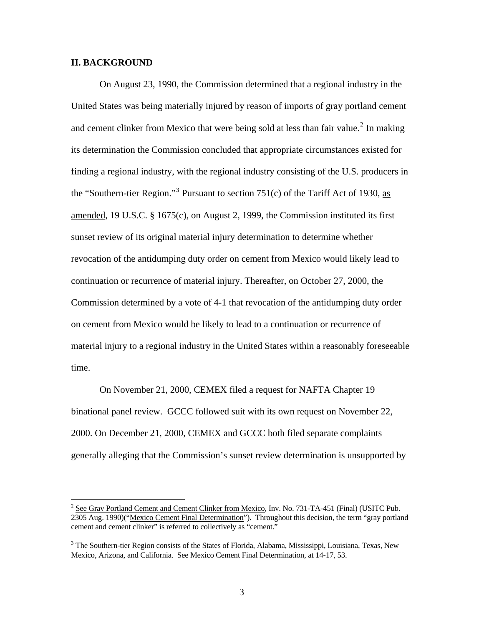### **II. BACKGROUND**

 $\overline{a}$ 

 On August 23, 1990, the Commission determined that a regional industry in the United States was being materially injured by reason of imports of gray portland cement and cement clinker from Mexico that were being sold at less than fair value.<sup>[2](#page-2-0)</sup> In making its determination the Commission concluded that appropriate circumstances existed for finding a regional industry, with the regional industry consisting of the U.S. producers in the "Southern-tier Region."<sup>[3](#page-2-1)</sup> Pursuant to section 751(c) of the Tariff Act of 1930, as amended, 19 U.S.C. § 1675(c), on August 2, 1999, the Commission instituted its first sunset review of its original material injury determination to determine whether revocation of the antidumping duty order on cement from Mexico would likely lead to continuation or recurrence of material injury. Thereafter, on October 27, 2000, the Commission determined by a vote of 4-1 that revocation of the antidumping duty order on cement from Mexico would be likely to lead to a continuation or recurrence of material injury to a regional industry in the United States within a reasonably foreseeable time.

On November 21, 2000, CEMEX filed a request for NAFTA Chapter 19 binational panel review. GCCC followed suit with its own request on November 22, 2000. On December 21, 2000, CEMEX and GCCC both filed separate complaints generally alleging that the Commission's sunset review determination is unsupported by

<span id="page-2-0"></span><sup>&</sup>lt;sup>2</sup> See Gray Portland Cement and Cement Clinker from Mexico, Inv. No. 731-TA-451 (Final) (USITC Pub. 2305 Aug. 1990)("Mexico Cement Final Determination"). Throughout this decision, the term "gray portland cement and cement clinker" is referred to collectively as "cement."

<span id="page-2-1"></span><sup>&</sup>lt;sup>3</sup> The Southern-tier Region consists of the States of Florida, Alabama, Mississippi, Louisiana, Texas, New Mexico, Arizona, and California. See Mexico Cement Final Determination, at 14-17, 53.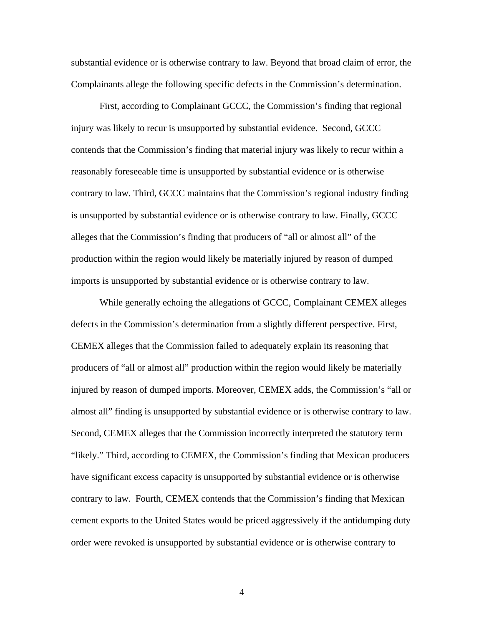substantial evidence or is otherwise contrary to law. Beyond that broad claim of error, the Complainants allege the following specific defects in the Commission's determination.

First, according to Complainant GCCC, the Commission's finding that regional injury was likely to recur is unsupported by substantial evidence. Second, GCCC contends that the Commission's finding that material injury was likely to recur within a reasonably foreseeable time is unsupported by substantial evidence or is otherwise contrary to law. Third, GCCC maintains that the Commission's regional industry finding is unsupported by substantial evidence or is otherwise contrary to law. Finally, GCCC alleges that the Commission's finding that producers of "all or almost all" of the production within the region would likely be materially injured by reason of dumped imports is unsupported by substantial evidence or is otherwise contrary to law.

While generally echoing the allegations of GCCC, Complainant CEMEX alleges defects in the Commission's determination from a slightly different perspective. First, CEMEX alleges that the Commission failed to adequately explain its reasoning that producers of "all or almost all" production within the region would likely be materially injured by reason of dumped imports. Moreover, CEMEX adds, the Commission's "all or almost all" finding is unsupported by substantial evidence or is otherwise contrary to law. Second, CEMEX alleges that the Commission incorrectly interpreted the statutory term "likely." Third, according to CEMEX, the Commission's finding that Mexican producers have significant excess capacity is unsupported by substantial evidence or is otherwise contrary to law. Fourth, CEMEX contends that the Commission's finding that Mexican cement exports to the United States would be priced aggressively if the antidumping duty order were revoked is unsupported by substantial evidence or is otherwise contrary to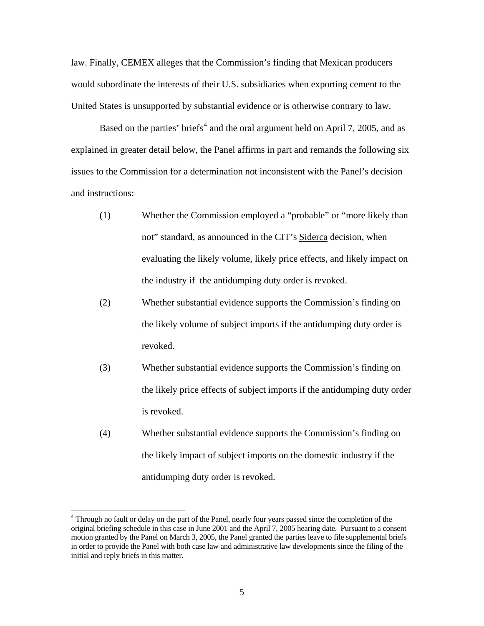law. Finally, CEMEX alleges that the Commission's finding that Mexican producers would subordinate the interests of their U.S. subsidiaries when exporting cement to the United States is unsupported by substantial evidence or is otherwise contrary to law.

Based on the parties' briefs<sup>[4](#page-4-0)</sup> and the oral argument held on April 7, 2005, and as explained in greater detail below, the Panel affirms in part and remands the following six issues to the Commission for a determination not inconsistent with the Panel's decision and instructions:

- (1) Whether the Commission employed a "probable" or "more likely than not" standard, as announced in the CIT's Siderca decision, when evaluating the likely volume, likely price effects, and likely impact on the industry if the antidumping duty order is revoked.
- (2) Whether substantial evidence supports the Commission's finding on the likely volume of subject imports if the antidumping duty order is revoked.
- (3) Whether substantial evidence supports the Commission's finding on the likely price effects of subject imports if the antidumping duty order is revoked.
- (4) Whether substantial evidence supports the Commission's finding on the likely impact of subject imports on the domestic industry if the antidumping duty order is revoked.

<span id="page-4-0"></span><sup>&</sup>lt;sup>4</sup> Through no fault or delay on the part of the Panel, nearly four years passed since the completion of the original briefing schedule in this case in June 2001 and the April 7, 2005 hearing date. Pursuant to a consent motion granted by the Panel on March 3, 2005, the Panel granted the parties leave to file supplemental briefs in order to provide the Panel with both case law and administrative law developments since the filing of the initial and reply briefs in this matter.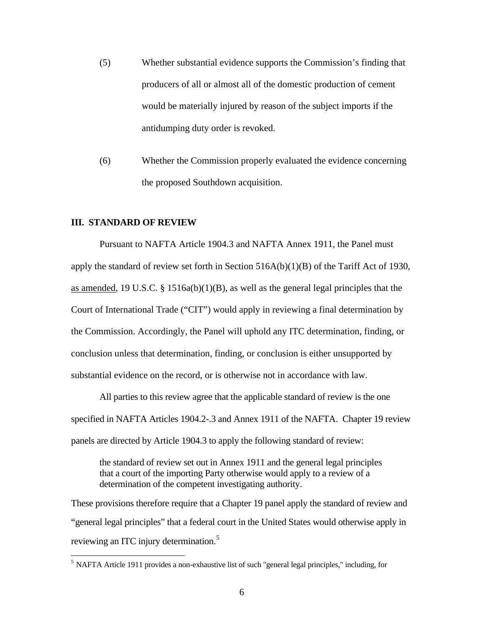- (5) Whether substantial evidence supports the Commission's finding that producers of all or almost all of the domestic production of cement would be materially injured by reason of the subject imports if the antidumping duty order is revoked.
- (6) Whether the Commission properly evaluated the evidence concerning the proposed Southdown acquisition.

## **III. STANDARD OF REVIEW**

 $\overline{a}$ 

 Pursuant to NAFTA Article 1904.3 and NAFTA Annex 1911, the Panel must apply the standard of review set forth in Section 516A(b)(1)(B) of the Tariff Act of 1930, as amended, 19 U.S.C.  $\S$  1516a(b)(1)(B), as well as the general legal principles that the Court of International Trade ("CIT") would apply in reviewing a final determination by the Commission. Accordingly, the Panel will uphold any ITC determination, finding, or conclusion unless that determination, finding, or conclusion is either unsupported by substantial evidence on the record, or is otherwise not in accordance with law.

All parties to this review agree that the applicable standard of review is the one specified in NAFTA Articles 1904.2-.3 and Annex 1911 of the NAFTA. Chapter 19 review panels are directed by Article 1904.3 to apply the following standard of review:

the standard of review set out in Annex 1911 and the general legal principles that a court of the importing Party otherwise would apply to a review of a determination of the competent investigating authority.

These provisions therefore require that a Chapter 19 panel apply the standard of review and "general legal principles" that a federal court in the United States would otherwise apply in reviewing an ITC injury determination.<sup>[5](#page-5-0)</sup>

<span id="page-5-0"></span><sup>5</sup> NAFTA Article 1911 provides a non-exhaustive list of such "general legal principles," including, for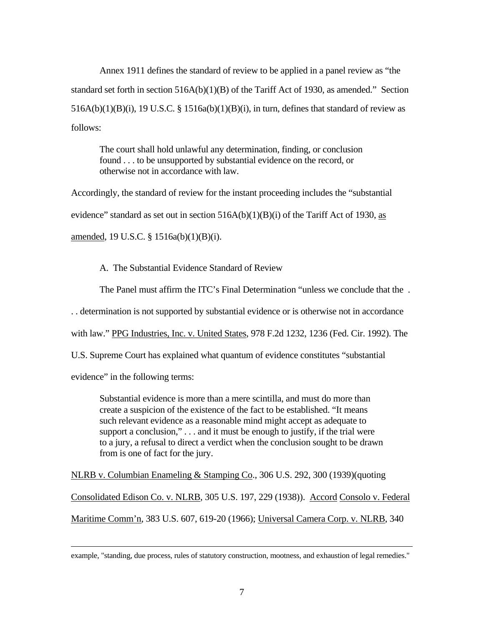Annex 1911 defines the standard of review to be applied in a panel review as "the standard set forth in section 516A(b)(1)(B) of the Tariff Act of 1930, as amended." Section  $516A(b)(1)(B)(i)$ , 19 U.S.C. § 1516a(b)(1)(B)(i), in turn, defines that standard of review as follows:

The court shall hold unlawful any determination, finding, or conclusion found . . . to be unsupported by substantial evidence on the record, or otherwise not in accordance with law.

Accordingly, the standard of review for the instant proceeding includes the "substantial evidence" standard as set out in section  $516A(b)(1)(B)(i)$  of the Tariff Act of 1930, as amended, 19 U.S.C. § 1516a(b)(1)(B)(i).

A. The Substantial Evidence Standard of Review

The Panel must affirm the ITC's Final Determination "unless we conclude that the .

. . determination is not supported by substantial evidence or is otherwise not in accordance

with law." PPG Industries, Inc. v. United States, 978 F.2d 1232, 1236 (Fed. Cir. 1992). The

U.S. Supreme Court has explained what quantum of evidence constitutes "substantial

evidence" in the following terms:

Substantial evidence is more than a mere scintilla, and must do more than create a suspicion of the existence of the fact to be established. "It means such relevant evidence as a reasonable mind might accept as adequate to support a conclusion,"... and it must be enough to justify, if the trial were to a jury, a refusal to direct a verdict when the conclusion sought to be drawn from is one of fact for the jury.

NLRB v. Columbian Enameling & Stamping Co., 306 U.S. 292, 300 (1939) (quoting Consolidated Edison Co. v. NLRB, 305 U.S. 197, 229 (1938)). Accord Consolo v. Federal Maritime Comm'n, 383 U.S. 607, 619-20 (1966); Universal Camera Corp. v. NLRB, 340

example, "standing, due process, rules of statutory construction, mootness, and exhaustion of legal remedies."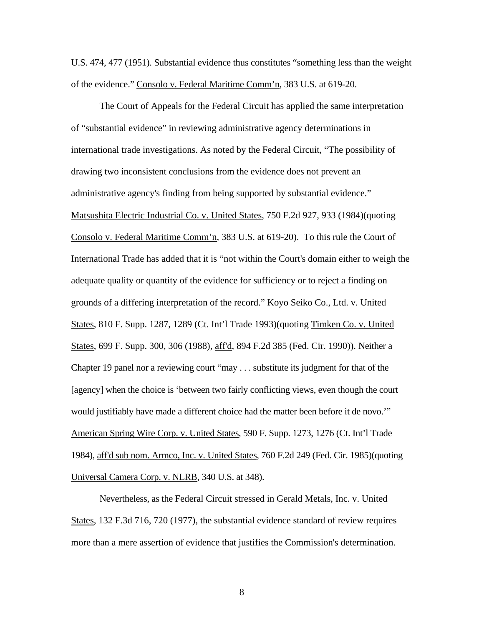U.S. 474, 477 (1951). Substantial evidence thus constitutes "something less than the weight of the evidence." Consolo v. Federal Maritime Comm'n, 383 U.S. at 619-20.

 The Court of Appeals for the Federal Circuit has applied the same interpretation of "substantial evidence" in reviewing administrative agency determinations in international trade investigations. As noted by the Federal Circuit, "The possibility of drawing two inconsistent conclusions from the evidence does not prevent an administrative agency's finding from being supported by substantial evidence." Matsushita Electric Industrial Co. v. United States, 750 F.2d 927, 933 (1984)(quoting Consolo v. Federal Maritime Comm'n, 383 U.S. at 619-20). To this rule the Court of International Trade has added that it is "not within the Court's domain either to weigh the adequate quality or quantity of the evidence for sufficiency or to reject a finding on grounds of a differing interpretation of the record." Koyo Seiko Co., Ltd. v. United States, 810 F. Supp. 1287, 1289 (Ct. Int'l Trade 1993)(quoting Timken Co. v. United States, 699 F. Supp. 300, 306 (1988), aff'd, 894 F.2d 385 (Fed. Cir. 1990)). Neither a Chapter 19 panel nor a reviewing court "may . . . substitute its judgment for that of the [agency] when the choice is 'between two fairly conflicting views, even though the court would justifiably have made a different choice had the matter been before it de novo.'" American Spring Wire Corp. v. United States, 590 F. Supp. 1273, 1276 (Ct. Int'l Trade 1984), aff'd sub nom. Armco, Inc. v. United States, 760 F.2d 249 (Fed. Cir. 1985)(quoting Universal Camera Corp. v. NLRB, 340 U.S. at 348).

 Nevertheless, as the Federal Circuit stressed in Gerald Metals, Inc. v. United States, 132 F.3d 716, 720 (1977), the substantial evidence standard of review requires more than a mere assertion of evidence that justifies the Commission's determination.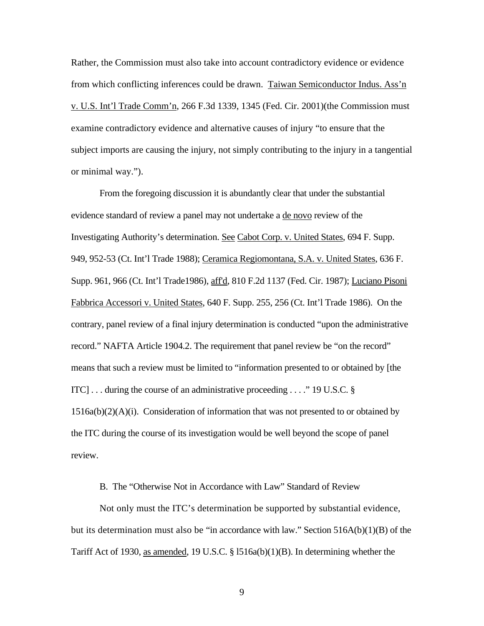Rather, the Commission must also take into account contradictory evidence or evidence from which conflicting inferences could be drawn. Taiwan Semiconductor Indus. Ass'n v. U.S. Int'l Trade Comm'n, 266 F.3d 1339, 1345 (Fed. Cir. 2001)(the Commission must examine contradictory evidence and alternative causes of injury "to ensure that the subject imports are causing the injury, not simply contributing to the injury in a tangential or minimal way.").

 From the foregoing discussion it is abundantly clear that under the substantial evidence standard of review a panel may not undertake a de novo review of the Investigating Authority's determination. See Cabot Corp. v. United States, 694 F. Supp. 949, 952-53 (Ct. Int'l Trade 1988); Ceramica Regiomontana, S.A. v. United States, 636 F. Supp. 961, 966 (Ct. Int'l Trade1986), aff'd, 810 F.2d 1137 (Fed. Cir. 1987); Luciano Pisoni Fabbrica Accessori v. United States, 640 F. Supp. 255, 256 (Ct. Int'l Trade 1986). On the contrary, panel review of a final injury determination is conducted "upon the administrative record." NAFTA Article 1904.2. The requirement that panel review be "on the record" means that such a review must be limited to "information presented to or obtained by [the ITC] . . . during the course of an administrative proceeding . . . ." 19 U.S.C. §  $1516a(b)(2)(A)(i)$ . Consideration of information that was not presented to or obtained by the ITC during the course of its investigation would be well beyond the scope of panel review.

B. The "Otherwise Not in Accordance with Law" Standard of Review

Not only must the ITC's determination be supported by substantial evidence, but its determination must also be "in accordance with law." Section 516A(b)(1)(B) of the Tariff Act of 1930, as amended, 19 U.S.C. § l516a(b)(1)(B). In determining whether the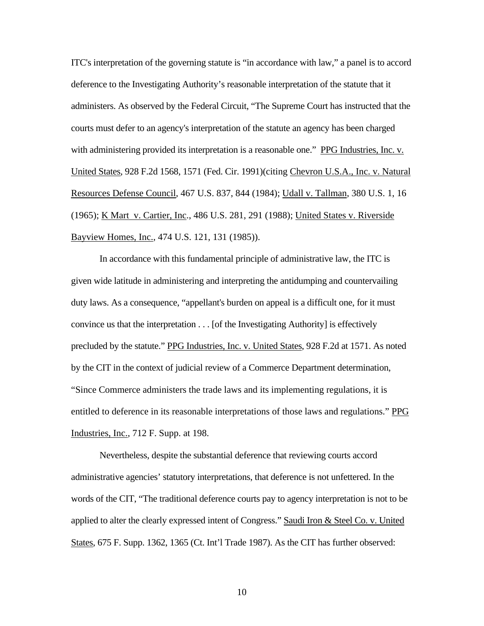ITC's interpretation of the governing statute is "in accordance with law," a panel is to accord deference to the Investigating Authority's reasonable interpretation of the statute that it administers. As observed by the Federal Circuit, "The Supreme Court has instructed that the courts must defer to an agency's interpretation of the statute an agency has been charged with administering provided its interpretation is a reasonable one." PPG Industries, Inc. v. United States, 928 F.2d 1568, 1571 (Fed. Cir. 1991)(citing Chevron U.S.A., Inc. v. Natural Resources Defense Council, 467 U.S. 837, 844 (1984); Udall v. Tallman, 380 U.S. 1, 16 (1965); K Mart v. Cartier, Inc., 486 U.S. 281, 291 (1988); United States v. Riverside Bayview Homes, Inc., 474 U.S. 121, 131 (1985)).

 In accordance with this fundamental principle of administrative law, the ITC is given wide latitude in administering and interpreting the antidumping and countervailing duty laws. As a consequence, "appellant's burden on appeal is a difficult one, for it must convince us that the interpretation . . . [of the Investigating Authority] is effectively precluded by the statute." PPG Industries, Inc. v. United States, 928 F.2d at 1571. As noted by the CIT in the context of judicial review of a Commerce Department determination, "Since Commerce administers the trade laws and its implementing regulations, it is entitled to deference in its reasonable interpretations of those laws and regulations." PPG Industries, Inc., 712 F. Supp. at 198.

Nevertheless, despite the substantial deference that reviewing courts accord administrative agencies' statutory interpretations, that deference is not unfettered. In the words of the CIT, "The traditional deference courts pay to agency interpretation is not to be applied to alter the clearly expressed intent of Congress." Saudi Iron & Steel Co. v. United States, 675 F. Supp. 1362, 1365 (Ct. Int'l Trade 1987). As the CIT has further observed: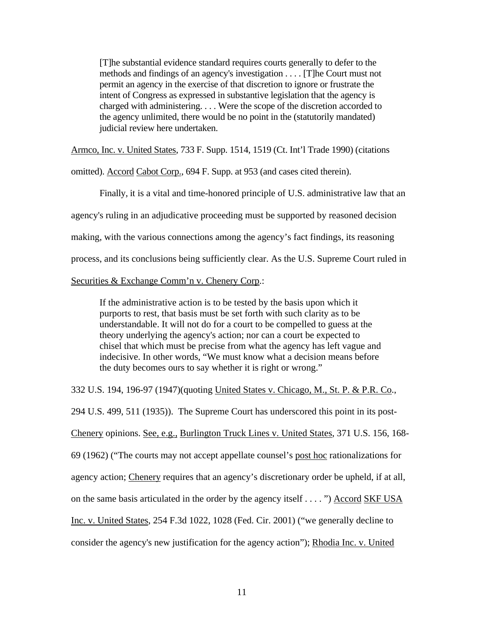[T]he substantial evidence standard requires courts generally to defer to the methods and findings of an agency's investigation . . . . [T]he Court must not permit an agency in the exercise of that discretion to ignore or frustrate the intent of Congress as expressed in substantive legislation that the agency is charged with administering. . . . Were the scope of the discretion accorded to the agency unlimited, there would be no point in the (statutorily mandated) judicial review here undertaken.

Armco, Inc. v. United States, 733 F. Supp. 1514, 1519 (Ct. Int'l Trade 1990) (citations

omitted). Accord Cabot Corp., 694 F. Supp. at 953 (and cases cited therein).

 Finally, it is a vital and time-honored principle of U.S. administrative law that an agency's ruling in an adjudicative proceeding must be supported by reasoned decision making, with the various connections among the agency's fact findings, its reasoning process, and its conclusions being sufficiently clear. As the U.S. Supreme Court ruled in

Securities & Exchange Comm'n v. Chenery Corp.:

If the administrative action is to be tested by the basis upon which it purports to rest, that basis must be set forth with such clarity as to be understandable. It will not do for a court to be compelled to guess at the theory underlying the agency's action; nor can a court be expected to chisel that which must be precise from what the agency has left vague and indecisive. In other words, "We must know what a decision means before the duty becomes ours to say whether it is right or wrong."

332 U.S. 194, 196-97 (1947)(quoting United States v. Chicago, M., St. P. & P.R. Co., 294 U.S. 499, 511 (1935)). The Supreme Court has underscored this point in its post-Chenery opinions. See, e.g., Burlington Truck Lines v. United States, 371 U.S. 156, 168- 69 (1962) ("The courts may not accept appellate counsel's post hoc rationalizations for agency action; Chenery requires that an agency's discretionary order be upheld, if at all, on the same basis articulated in the order by the agency itself . . . . ") Accord SKF USA Inc. v. United States, 254 F.3d 1022, 1028 (Fed. Cir. 2001) ("we generally decline to consider the agency's new justification for the agency action"); Rhodia Inc. v. United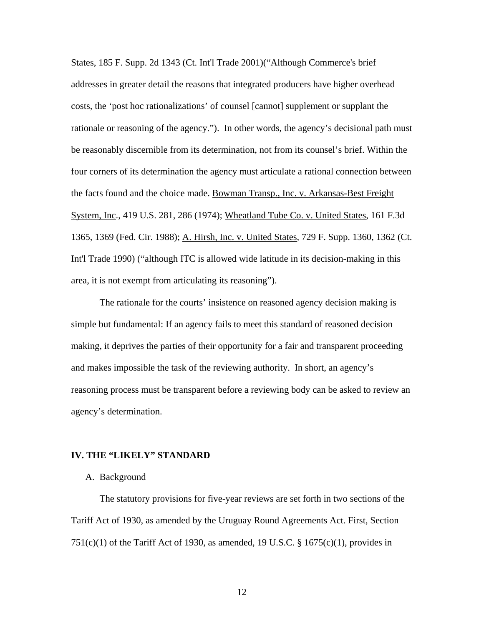States, 185 F. Supp. 2d 1343 (Ct. Int'l Trade 2001)("Although Commerce's brief addresses in greater detail the reasons that integrated producers have higher overhead costs, the 'post hoc rationalizations' of counsel [cannot] supplement or supplant the rationale or reasoning of the agency."). In other words, the agency's decisional path must be reasonably discernible from its determination, not from its counsel's brief. Within the four corners of its determination the agency must articulate a rational connection between the facts found and the choice made. Bowman Transp., Inc. v. Arkansas-Best Freight System, Inc., 419 U.S. 281, 286 (1974); Wheatland Tube Co. v. United States, 161 F.3d 1365, 1369 (Fed. Cir. 1988); A. Hirsh, Inc. v. United States, 729 F. Supp. 1360, 1362 (Ct. Int'l Trade 1990) ("although ITC is allowed wide latitude in its decision-making in this area, it is not exempt from articulating its reasoning").

 The rationale for the courts' insistence on reasoned agency decision making is simple but fundamental: If an agency fails to meet this standard of reasoned decision making, it deprives the parties of their opportunity for a fair and transparent proceeding and makes impossible the task of the reviewing authority. In short, an agency's reasoning process must be transparent before a reviewing body can be asked to review an agency's determination.

## **IV. THE "LIKELY" STANDARD**

#### A. Background

The statutory provisions for five-year reviews are set forth in two sections of the Tariff Act of 1930, as amended by the Uruguay Round Agreements Act. First, Section  $751(c)(1)$  of the Tariff Act of 1930, as amended, 19 U.S.C. § 1675(c)(1), provides in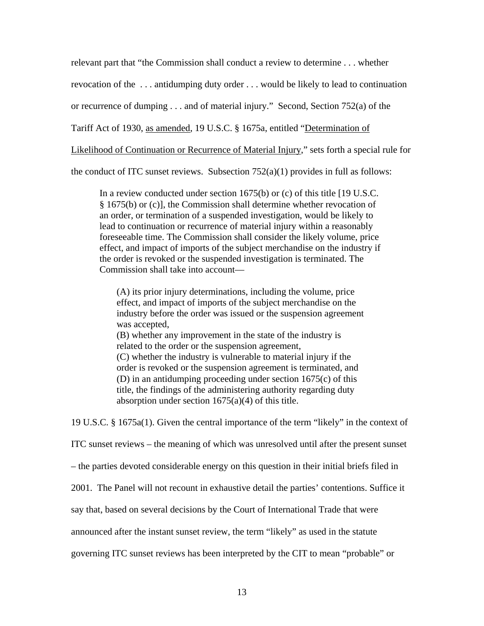relevant part that "the Commission shall conduct a review to determine . . . whether

revocation of the . . . antidumping duty order . . . would be likely to lead to continuation

or recurrence of dumping . . . and of material injury." Second, Section 752(a) of the

Tariff Act of 1930, as amended, 19 U.S.C. § 1675a, entitled "Determination of

Likelihood of Continuation or Recurrence of Material Injury," sets forth a special rule for

the conduct of ITC sunset reviews. Subsection  $752(a)(1)$  provides in full as follows:

In a review conducted under [section 1675\(b\)](http://web2.westlaw.com/find/default.wl?DB=1000546&DocName=19USCAS1675&FindType=L&ReferencePositionType=T&ReferencePosition=SP%3Ba83b000018c76&AP=&mt=LawSchoolPractitioner&fn=_top&sv=Split&vr=2.0&rs=WLW5.04) or [\(c\)](http://web2.westlaw.com/find/default.wl?DB=1000546&DocName=19USCAS1675&FindType=L&ReferencePositionType=T&ReferencePosition=SP%3B4b24000003ba5&AP=&mt=LawSchoolPractitioner&fn=_top&sv=Split&vr=2.0&rs=WLW5.04) of this title [19 U.S.C. § 1675(b) or (c)], the Commission shall determine whether revocation of an order, or termination of a suspended investigation, would be likely to lead to continuation or recurrence of material injury within a reasonably foreseeable time. The Commission shall consider the likely volume, price effect, and impact of imports of the subject merchandise on the industry if the order is revoked or the suspended investigation is terminated. The Commission shall take into account—

(A) its prior injury determinations, including the volume, price effect, and impact of imports of the subject merchandise on the industry before the order was issued or the suspension agreement was accepted, (B) whether any improvement in the state of the industry is

related to the order or the suspension agreement, (C) whether the industry is vulnerable to material injury if the order is revoked or the suspension agreement is terminated, and (D) in an antidumping proceeding under [section 1675\(c\)](http://web2.westlaw.com/find/default.wl?DB=1000546&DocName=19USCAS1675&FindType=L&ReferencePositionType=T&ReferencePosition=SP%3B4b24000003ba5&AP=&mt=LawSchoolPractitioner&fn=_top&sv=Split&vr=2.0&rs=WLW5.04) of this title, the findings of the administering authority regarding duty absorption under section  $1675(a)(4)$  of this title.

19 U.S.C. § 1675a(1). Given the central importance of the term "likely" in the context of

ITC sunset reviews – the meaning of which was unresolved until after the present sunset

– the parties devoted considerable energy on this question in their initial briefs filed in

2001. The Panel will not recount in exhaustive detail the parties' contentions. Suffice it

say that, based on several decisions by the Court of International Trade that were

announced after the instant sunset review, the term "likely" as used in the statute

governing ITC sunset reviews has been interpreted by the CIT to mean "probable" or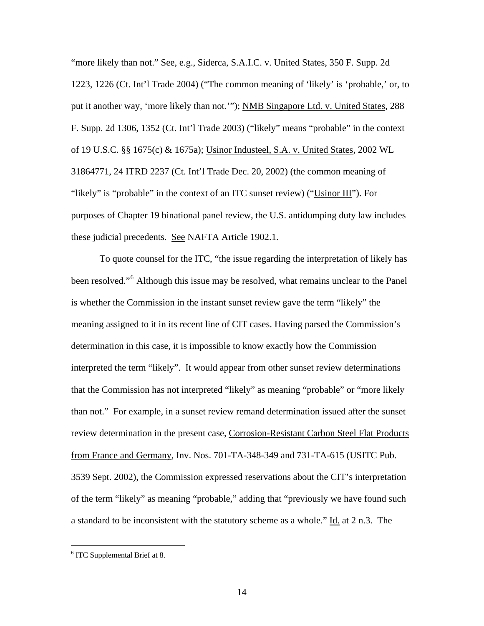"more likely than not." See, e.g., Siderca, S.A.I.C. v. United States, 350 F. Supp. 2d 1223, 1226 (Ct. Int'l Trade 2004) ("The common meaning of 'likely' is 'probable,' or, to put it another way, 'more likely than not.'"); NMB Singapore Ltd. v. United States, 288 F. Supp. 2d 1306, 1352 (Ct. Int'l Trade 2003) ("likely" means "probable" in the context of 19 U.S.C. §§ 1675(c) & 1675a); Usinor Industeel, S.A. v. United States, 2002 WL 31864771, 24 ITRD 2237 (Ct. Int'l Trade Dec. 20, 2002) (the common meaning of "likely" is "probable" in the context of an ITC sunset review) ("Usinor III"). For purposes of Chapter 19 binational panel review, the U.S. antidumping duty law includes these judicial precedents. See NAFTA Article 1902.1.

To quote counsel for the ITC, "the issue regarding the interpretation of likely has been resolved."<sup>[6](#page-13-0)</sup> Although this issue may be resolved, what remains unclear to the Panel is whether the Commission in the instant sunset review gave the term "likely" the meaning assigned to it in its recent line of CIT cases. Having parsed the Commission's determination in this case, it is impossible to know exactly how the Commission interpreted the term "likely". It would appear from other sunset review determinations that the Commission has not interpreted "likely" as meaning "probable" or "more likely than not." For example, in a sunset review remand determination issued after the sunset review determination in the present case, Corrosion-Resistant Carbon Steel Flat Products from France and Germany, Inv. Nos. 701-TA-348-349 and 731-TA-615 (USITC Pub. 3539 Sept. 2002), the Commission expressed reservations about the CIT's interpretation of the term "likely" as meaning "probable," adding that "previously we have found such a standard to be inconsistent with the statutory scheme as a whole." Id. at 2 n.3. The

<span id="page-13-0"></span><sup>&</sup>lt;sup>6</sup> ITC Supplemental Brief at 8.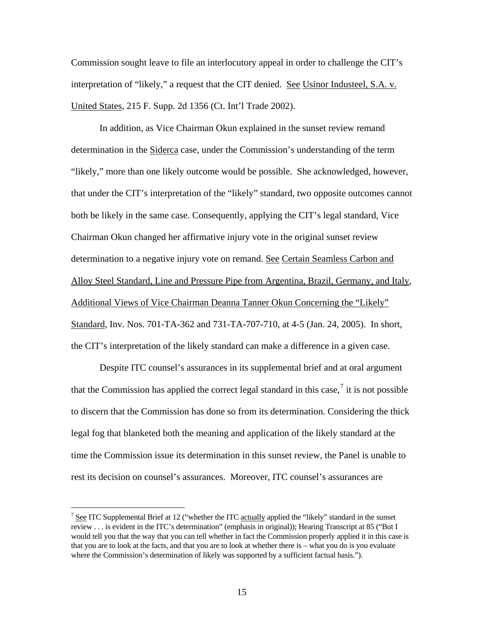Commission sought leave to file an interlocutory appeal in order to challenge the CIT's interpretation of "likely," a request that the CIT denied. See Usinor Industeel, S.A. v. United States, 215 F. Supp. 2d 1356 (Ct. Int'l Trade 2002).

In addition, as Vice Chairman Okun explained in the sunset review remand determination in the Siderca case, under the Commission's understanding of the term "likely," more than one likely outcome would be possible. She acknowledged, however, that under the CIT's interpretation of the "likely" standard, two opposite outcomes cannot both be likely in the same case. Consequently, applying the CIT's legal standard, Vice Chairman Okun changed her affirmative injury vote in the original sunset review determination to a negative injury vote on remand. See Certain Seamless Carbon and Alloy Steel Standard, Line and Pressure Pipe from Argentina, Brazil, Germany, and Italy, Additional Views of Vice Chairman Deanna Tanner Okun Concerning the "Likely" Standard, Inv. Nos. 701-TA-362 and 731-TA-707-710, at 4-5 (Jan. 24, 2005). In short, the CIT's interpretation of the likely standard can make a difference in a given case.

Despite ITC counsel's assurances in its supplemental brief and at oral argument that the Commission has applied the correct legal standard in this case,<sup>[7](#page-14-0)</sup> it is not possible to discern that the Commission has done so from its determination. Considering the thick legal fog that blanketed both the meaning and application of the likely standard at the time the Commission issue its determination in this sunset review, the Panel is unable to rest its decision on counsel's assurances. Moreover, ITC counsel's assurances are

<span id="page-14-0"></span><sup>&</sup>lt;sup>7</sup> See ITC Supplemental Brief at 12 ("whether the ITC actually applied the "likely" standard in the sunset review . . . is evident in the ITC's determination" (emphasis in original)); Hearing Transcript at 85 ("But I would tell you that the way that you can tell whether in fact the Commission properly applied it in this case is that you are to look at the facts, and that you are to look at whether there is – what you do is you evaluate where the Commission's determination of likely was supported by a sufficient factual basis.").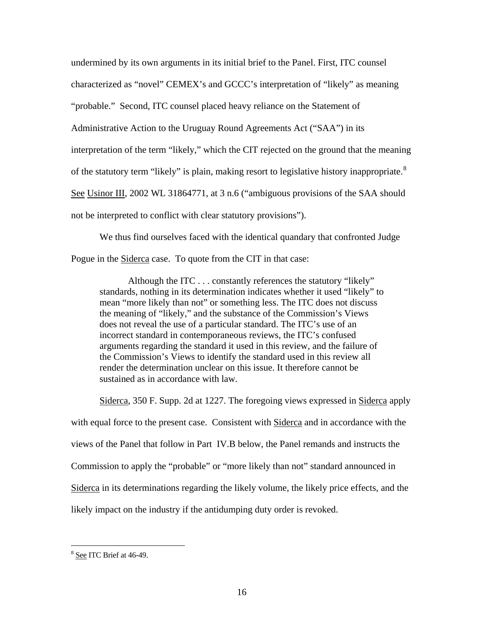undermined by its own arguments in its initial brief to the Panel. First, ITC counsel characterized as "novel" CEMEX's and GCCC's interpretation of "likely" as meaning "probable." Second, ITC counsel placed heavy reliance on the Statement of Administrative Action to the Uruguay Round Agreements Act ("SAA") in its interpretation of the term "likely," which the CIT rejected on the ground that the meaning of the statutory term "likely" is plain, making resort to legislative history inappropriate.<sup>[8](#page-15-0)</sup> See Usinor III, 2002 WL 31864771, at 3 n.6 ("ambiguous provisions of the SAA should not be interpreted to conflict with clear statutory provisions").

We thus find ourselves faced with the identical quandary that confronted Judge Pogue in the **Siderca** case. To quote from the CIT in that case:

Although the ITC . . . constantly references the statutory "likely" standards, nothing in its determination indicates whether it used "likely" to mean "more likely than not" or something less. The ITC does not discuss the meaning of "likely," and the substance of the Commission's Views does not reveal the use of a particular standard. The ITC's use of an incorrect standard in contemporaneous reviews, the ITC's confused arguments regarding the standard it used in this review, and the failure of the Commission's Views to identify the standard used in this review all render the determination unclear on this issue. It therefore cannot be sustained as in accordance with law.

Siderca, 350 F. Supp. 2d at 1227. The foregoing views expressed in Siderca apply with equal force to the present case. Consistent with Siderca and in accordance with the views of the Panel that follow in Part IV.B below, the Panel remands and instructs the Commission to apply the "probable" or "more likely than not" standard announced in Siderca in its determinations regarding the likely volume, the likely price effects, and the likely impact on the industry if the antidumping duty order is revoked.

<span id="page-15-0"></span><sup>8</sup> See ITC Brief at 46-49.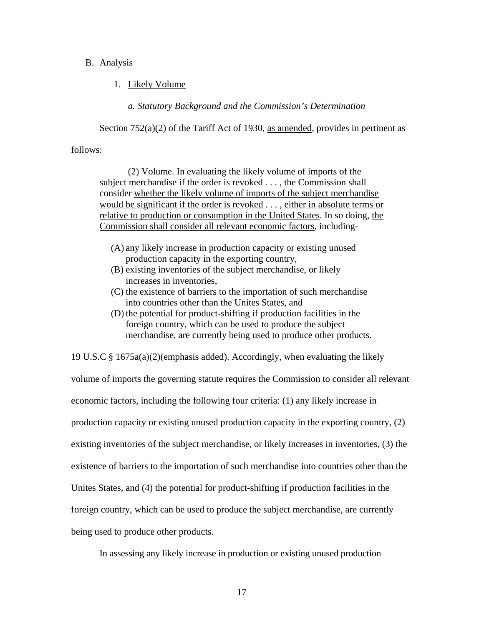## B. Analysis

1. Likely Volume

*a. Statutory Background and the Commission's Determination*

Section 752(a)(2) of the Tariff Act of 1930, as amended, provides in pertinent as

follows:

 (2) Volume. In evaluating the likely volume of imports of the subject merchandise if the order is revoked . . . , the Commission shall consider whether the likely volume of imports of the subject merchandise would be significant if the order is revoked . . . , either in absolute terms or relative to production or consumption in the United States. In so doing, the Commission shall consider all relevant economic factors, including-

- (A) any likely increase in production capacity or existing unused production capacity in the exporting country,
- (B) existing inventories of the subject merchandise, or likely increases in inventories,
- (C) the existence of barriers to the importation of such merchandise into countries other than the Unites States, and
- (D) the potential for product-shifting if production facilities in the foreign country, which can be used to produce the subject merchandise, are currently being used to produce other products.

19 U.S.C § 1675a(a)(2)(emphasis added). Accordingly, when evaluating the likely

volume of imports the governing statute requires the Commission to consider all relevant economic factors, including the following four criteria: (1) any likely increase in production capacity or existing unused production capacity in the exporting country, (2) existing inventories of the subject merchandise, or likely increases in inventories, (3) the existence of barriers to the importation of such merchandise into countries other than the Unites States, and (4) the potential for product-shifting if production facilities in the foreign country, which can be used to produce the subject merchandise, are currently being used to produce other products.

In assessing any likely increase in production or existing unused production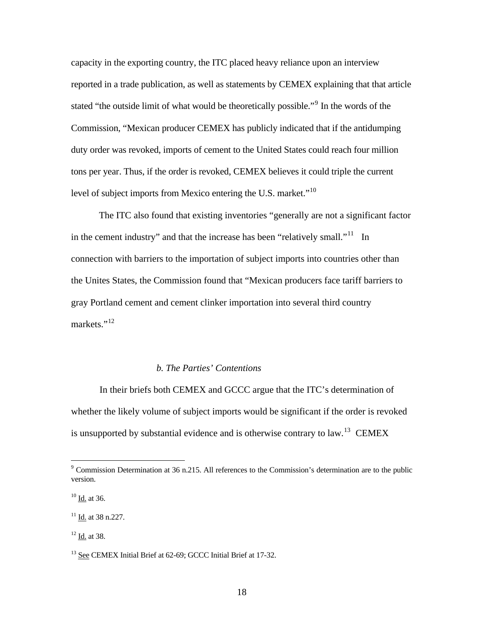capacity in the exporting country, the ITC placed heavy reliance upon an interview reported in a trade publication, as well as statements by CEMEX explaining that that article stated "the outside limit of what would be theoretically possible."<sup>[9](#page-17-0)</sup> In the words of the Commission, "Mexican producer CEMEX has publicly indicated that if the antidumping duty order was revoked, imports of cement to the United States could reach four million tons per year. Thus, if the order is revoked, CEMEX believes it could triple the current level of subject imports from Mexico entering the U.S. market."<sup>[10](#page-17-1)</sup>

The ITC also found that existing inventories "generally are not a significant factor in the cement industry" and that the increase has been "relatively small."<sup>[11](#page-17-2)</sup> In connection with barriers to the importation of subject imports into countries other than the Unites States, the Commission found that "Mexican producers face tariff barriers to gray Portland cement and cement clinker importation into several third country markets." $^{12}$  $^{12}$  $^{12}$ 

### *b. The Parties' Contentions*

 In their briefs both CEMEX and GCCC argue that the ITC's determination of whether the likely volume of subject imports would be significant if the order is revoked is unsupported by substantial evidence and is otherwise contrary to law.<sup>[13](#page-17-4)</sup> CEMEX

<span id="page-17-0"></span><sup>&</sup>lt;sup>9</sup> Commission Determination at 36 n.215. All references to the Commission's determination are to the public version.

<span id="page-17-1"></span><sup>10</sup> Id. at 36.

<span id="page-17-2"></span><sup>&</sup>lt;sup>11</sup> Id. at 38 n.227.

<span id="page-17-3"></span> $12$  Id. at 38.

<span id="page-17-4"></span><sup>&</sup>lt;sup>13</sup> See CEMEX Initial Brief at 62-69; GCCC Initial Brief at 17-32.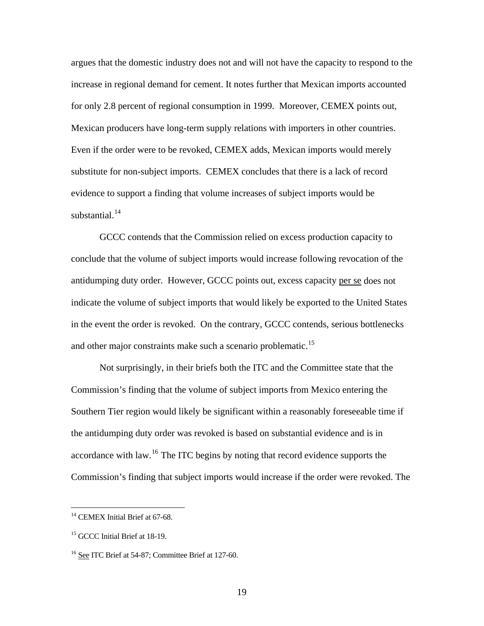argues that the domestic industry does not and will not have the capacity to respond to the increase in regional demand for cement. It notes further that Mexican imports accounted for only 2.8 percent of regional consumption in 1999. Moreover, CEMEX points out, Mexican producers have long-term supply relations with importers in other countries. Even if the order were to be revoked, CEMEX adds, Mexican imports would merely substitute for non-subject imports. CEMEX concludes that there is a lack of record evidence to support a finding that volume increases of subject imports would be substantial. $14$ 

 GCCC contends that the Commission relied on excess production capacity to conclude that the volume of subject imports would increase following revocation of the antidumping duty order. However, GCCC points out, excess capacity per se does not indicate the volume of subject imports that would likely be exported to the United States in the event the order is revoked. On the contrary, GCCC contends, serious bottlenecks and other major constraints make such a scenario problematic.<sup>[15](#page-18-1)</sup>

Not surprisingly, in their briefs both the ITC and the Committee state that the Commission's finding that the volume of subject imports from Mexico entering the Southern Tier region would likely be significant within a reasonably foreseeable time if the antidumping duty order was revoked is based on substantial evidence and is in accordance with law.[16](#page-18-2) The ITC begins by noting that record evidence supports the Commission's finding that subject imports would increase if the order were revoked. The

 $\overline{a}$ 

<span id="page-18-0"></span><sup>&</sup>lt;sup>14</sup> CEMEX Initial Brief at 67-68.

<span id="page-18-1"></span><sup>&</sup>lt;sup>15</sup> GCCC Initial Brief at 18-19.

<span id="page-18-2"></span><sup>16</sup> See ITC Brief at 54-87; Committee Brief at 127-60.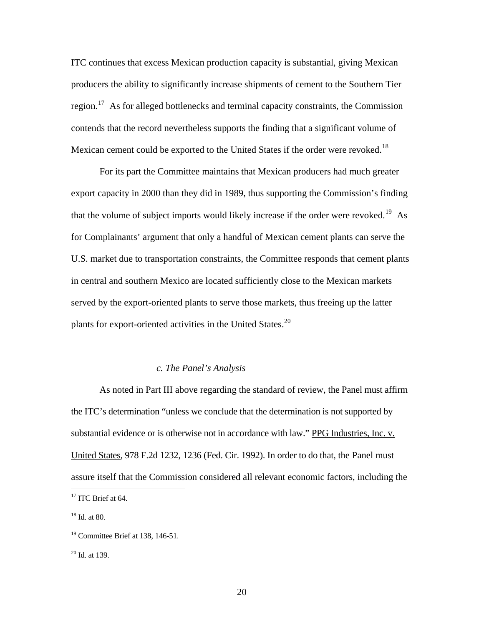ITC continues that excess Mexican production capacity is substantial, giving Mexican producers the ability to significantly increase shipments of cement to the Southern Tier region.<sup>[17](#page-19-0)</sup> As for alleged bottlenecks and terminal capacity constraints, the Commission contends that the record nevertheless supports the finding that a significant volume of Mexican cement could be exported to the United States if the order were revoked.<sup>[18](#page-19-1)</sup>

For its part the Committee maintains that Mexican producers had much greater export capacity in 2000 than they did in 1989, thus supporting the Commission's finding that the volume of subject imports would likely increase if the order were revoked.<sup>[19](#page-19-2)</sup> As for Complainants' argument that only a handful of Mexican cement plants can serve the U.S. market due to transportation constraints, the Committee responds that cement plants in central and southern Mexico are located sufficiently close to the Mexican markets served by the export-oriented plants to serve those markets, thus freeing up the latter plants for export-oriented activities in the United States.<sup>[20](#page-19-3)</sup>

## *c. The Panel's Analysis*

 As noted in Part III above regarding the standard of review, the Panel must affirm the ITC's determination "unless we conclude that the determination is not supported by substantial evidence or is otherwise not in accordance with law." PPG Industries, Inc. v. United States, 978 F.2d 1232, 1236 (Fed. Cir. 1992). In order to do that, the Panel must assure itself that the Commission considered all relevant economic factors, including the

<span id="page-19-0"></span><sup>&</sup>lt;sup>17</sup> ITC Brief at 64.

<span id="page-19-1"></span><sup>18</sup> Id. at 80.

<span id="page-19-2"></span><sup>19</sup> Committee Brief at 138, 146-51.

<span id="page-19-3"></span> $20$  Id. at 139.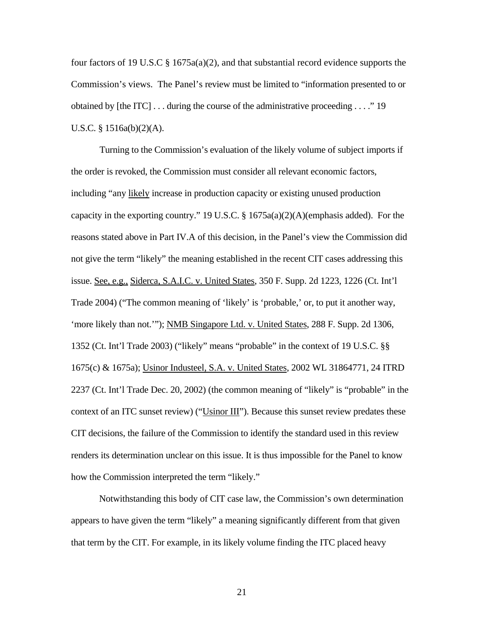four factors of 19 U.S.C § 1675a(a)(2), and that substantial record evidence supports the Commission's views. The Panel's review must be limited to "information presented to or obtained by [the ITC] . . . during the course of the administrative proceeding . . . ." 19 U.S.C. § 1516a(b)(2)(A).

Turning to the Commission's evaluation of the likely volume of subject imports if the order is revoked, the Commission must consider all relevant economic factors, including "any likely increase in production capacity or existing unused production capacity in the exporting country." 19 U.S.C. § 1675a(a)(2)(A)(emphasis added). For the reasons stated above in Part IV.A of this decision, in the Panel's view the Commission did not give the term "likely" the meaning established in the recent CIT cases addressing this issue. See, e.g., Siderca, S.A.I.C. v. United States, 350 F. Supp. 2d 1223, 1226 (Ct. Int'l Trade 2004) ("The common meaning of 'likely' is 'probable,' or, to put it another way, 'more likely than not.'"); NMB Singapore Ltd. v. United States, 288 F. Supp. 2d 1306, 1352 (Ct. Int'l Trade 2003) ("likely" means "probable" in the context of 19 U.S.C. §§ 1675(c) & 1675a); Usinor Industeel, S.A. v. United States, 2002 WL 31864771, 24 ITRD 2237 (Ct. Int'l Trade Dec. 20, 2002) (the common meaning of "likely" is "probable" in the context of an ITC sunset review) ("Usinor III"). Because this sunset review predates these CIT decisions, the failure of the Commission to identify the standard used in this review renders its determination unclear on this issue. It is thus impossible for the Panel to know how the Commission interpreted the term "likely."

Notwithstanding this body of CIT case law, the Commission's own determination appears to have given the term "likely" a meaning significantly different from that given that term by the CIT. For example, in its likely volume finding the ITC placed heavy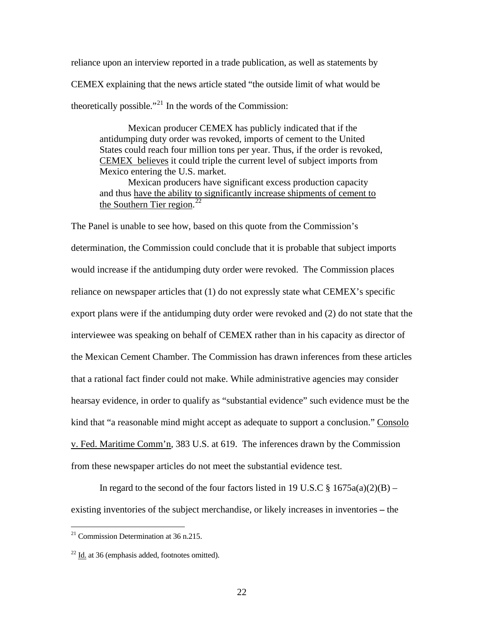reliance upon an interview reported in a trade publication, as well as statements by CEMEX explaining that the news article stated "the outside limit of what would be theoretically possible."<sup>[21](#page-21-0)</sup> In the words of the Commission:

 Mexican producer CEMEX has publicly indicated that if the antidumping duty order was revoked, imports of cement to the United States could reach four million tons per year. Thus, if the order is revoked, CEMEX believes it could triple the current level of subject imports from Mexico entering the U.S. market.

 Mexican producers have significant excess production capacity and thus have the ability to significantly increase shipments of cement to the Southern Tier region.<sup>[22](#page-21-1)</sup>

The Panel is unable to see how, based on this quote from the Commission's determination, the Commission could conclude that it is probable that subject imports would increase if the antidumping duty order were revoked. The Commission places reliance on newspaper articles that (1) do not expressly state what CEMEX's specific export plans were if the antidumping duty order were revoked and (2) do not state that the interviewee was speaking on behalf of CEMEX rather than in his capacity as director of the Mexican Cement Chamber. The Commission has drawn inferences from these articles that a rational fact finder could not make. While administrative agencies may consider hearsay evidence, in order to qualify as "substantial evidence" such evidence must be the kind that "a reasonable mind might accept as adequate to support a conclusion." Consolo v. Fed. Maritime Comm'n, 383 U.S. at 619. The inferences drawn by the Commission from these newspaper articles do not meet the substantial evidence test.

In regard to the second of the four factors listed in 19 U.S.C  $\S$  1675a(a)(2)(B) – existing inventories of the subject merchandise, or likely increases in inventories **–** the

<span id="page-21-0"></span> $21$  Commission Determination at 36 n.215.

<span id="page-21-1"></span> $22$  Id. at 36 (emphasis added, footnotes omitted).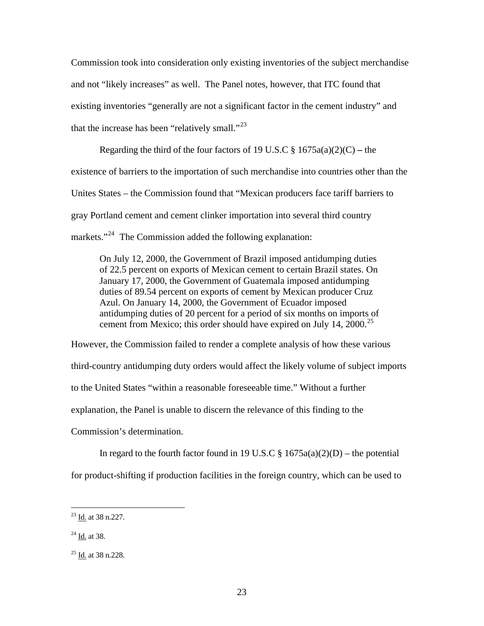Commission took into consideration only existing inventories of the subject merchandise and not "likely increases" as well. The Panel notes, however, that ITC found that existing inventories "generally are not a significant factor in the cement industry" and that the increase has been "relatively small."<sup>[23](#page-22-0)</sup>

Regarding the third of the four factors of 19 U.S.C  $\S$  1675a(a)(2)(C) – the existence of barriers to the importation of such merchandise into countries other than the Unites States – the Commission found that "Mexican producers face tariff barriers to gray Portland cement and cement clinker importation into several third country markets."<sup>[24](#page-22-1)</sup> The Commission added the following explanation:

On July 12, 2000, the Government of Brazil imposed antidumping duties of 22.5 percent on exports of Mexican cement to certain Brazil states. On January 17, 2000, the Government of Guatemala imposed antidumping duties of 89.54 percent on exports of cement by Mexican producer Cruz Azul. On January 14, 2000, the Government of Ecuador imposed antidumping duties of 20 percent for a period of six months on imports of cement from Mexico; this order should have expired on July 14,  $2000$ <sup>[25](#page-22-2)</sup>

However, the Commission failed to render a complete analysis of how these various third-country antidumping duty orders would affect the likely volume of subject imports to the United States "within a reasonable foreseeable time." Without a further explanation, the Panel is unable to discern the relevance of this finding to the Commission's determination.

In regard to the fourth factor found in 19 U.S.C  $\S$  1675a(a)(2)(D) – the potential for product-shifting if production facilities in the foreign country, which can be used to

<span id="page-22-0"></span> $\frac{23}{10}$  at 38 n.227.

<span id="page-22-1"></span> $^{24}$  Id. at 38.

<span id="page-22-2"></span> $25$  Id. at 38 n.228.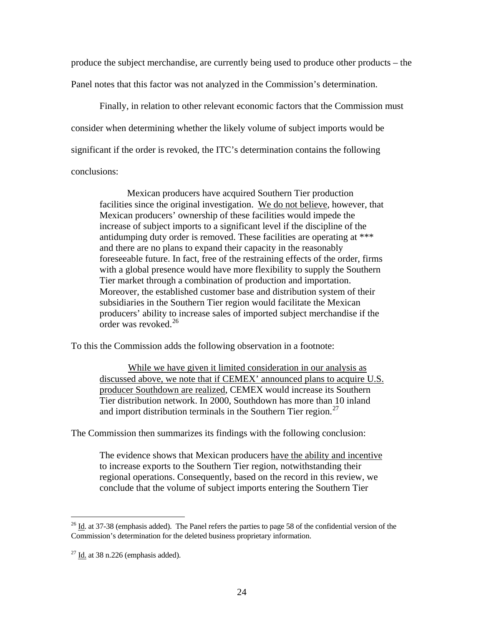produce the subject merchandise, are currently being used to produce other products – the Panel notes that this factor was not analyzed in the Commission's determination.

 Finally, in relation to other relevant economic factors that the Commission must consider when determining whether the likely volume of subject imports would be significant if the order is revoked, the ITC's determination contains the following conclusions:

Mexican producers have acquired Southern Tier production facilities since the original investigation. We do not believe, however, that Mexican producers' ownership of these facilities would impede the increase of subject imports to a significant level if the discipline of the antidumping duty order is removed. These facilities are operating at \*\*\* and there are no plans to expand their capacity in the reasonably foreseeable future. In fact, free of the restraining effects of the order, firms with a global presence would have more flexibility to supply the Southern Tier market through a combination of production and importation. Moreover, the established customer base and distribution system of their subsidiaries in the Southern Tier region would facilitate the Mexican producers' ability to increase sales of imported subject merchandise if the order was revoked.[26](#page-23-0)

To this the Commission adds the following observation in a footnote:

 While we have given it limited consideration in our analysis as discussed above, we note that if CEMEX' announced plans to acquire U.S. producer Southdown are realized, CEMEX would increase its Southern Tier distribution network. In 2000, Southdown has more than 10 inland and import distribution terminals in the Southern Tier region.<sup>[27](#page-23-1)</sup>

The Commission then summarizes its findings with the following conclusion:

The evidence shows that Mexican producers have the ability and incentive to increase exports to the Southern Tier region, notwithstanding their regional operations. Consequently, based on the record in this review, we conclude that the volume of subject imports entering the Southern Tier

<span id="page-23-0"></span> $^{26}$  Id. at 37-38 (emphasis added). The Panel refers the parties to page 58 of the confidential version of the Commission's determination for the deleted business proprietary information.

<span id="page-23-1"></span> $27$  Id. at 38 n.226 (emphasis added).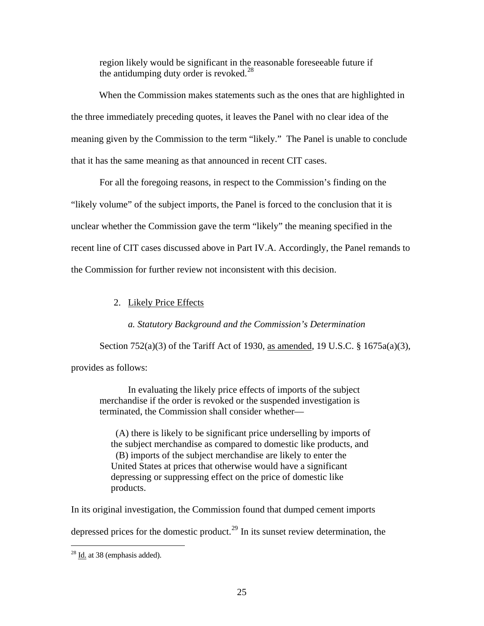region likely would be significant in the reasonable foreseeable future if the antidumping duty order is revoked.<sup>[28](#page-24-0)</sup>

When the Commission makes statements such as the ones that are highlighted in the three immediately preceding quotes, it leaves the Panel with no clear idea of the meaning given by the Commission to the term "likely." The Panel is unable to conclude that it has the same meaning as that announced in recent CIT cases.

 For all the foregoing reasons, in respect to the Commission's finding on the "likely volume" of the subject imports, the Panel is forced to the conclusion that it is unclear whether the Commission gave the term "likely" the meaning specified in the recent line of CIT cases discussed above in Part IV.A. Accordingly, the Panel remands to the Commission for further review not inconsistent with this decision.

# 2. Likely Price Effects

*a. Statutory Background and the Commission's Determination* 

Section 752(a)(3) of the Tariff Act of 1930, as amended, 19 U.S.C. § 1675a(a)(3),

provides as follows:

In evaluating the likely price effects of imports of the subject merchandise if the order is revoked or the suspended investigation is terminated, the Commission shall consider whether—

 (A) there is likely to be significant price underselling by imports of the subject merchandise as compared to domestic like products, and (B) imports of the subject merchandise are likely to enter the United States at prices that otherwise would have a significant depressing or suppressing effect on the price of domestic like products.

In its original investigation, the Commission found that dumped cement imports depressed prices for the domestic product.<sup>[29](#page-24-1)</sup> In its sunset review determination, the

<span id="page-24-1"></span><span id="page-24-0"></span> $28$  Id. at 38 (emphasis added).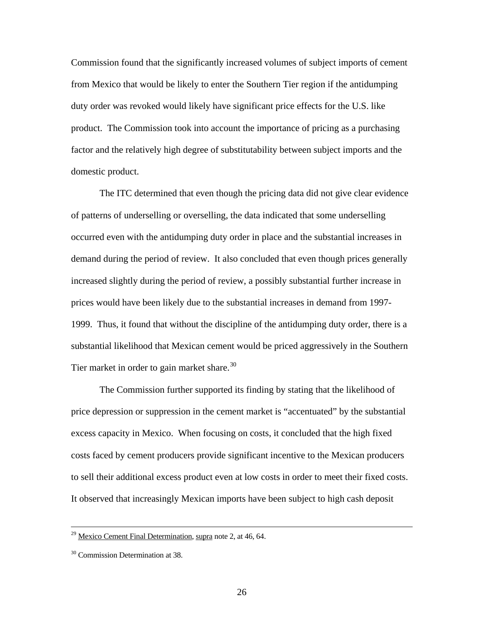Commission found that the significantly increased volumes of subject imports of cement from Mexico that would be likely to enter the Southern Tier region if the antidumping duty order was revoked would likely have significant price effects for the U.S. like product. The Commission took into account the importance of pricing as a purchasing factor and the relatively high degree of substitutability between subject imports and the domestic product.

 The ITC determined that even though the pricing data did not give clear evidence of patterns of underselling or overselling, the data indicated that some underselling occurred even with the antidumping duty order in place and the substantial increases in demand during the period of review. It also concluded that even though prices generally increased slightly during the period of review, a possibly substantial further increase in prices would have been likely due to the substantial increases in demand from 1997- 1999. Thus, it found that without the discipline of the antidumping duty order, there is a substantial likelihood that Mexican cement would be priced aggressively in the Southern Tier market in order to gain market share.<sup>[30](#page-25-0)</sup>

 The Commission further supported its finding by stating that the likelihood of price depression or suppression in the cement market is "accentuated" by the substantial excess capacity in Mexico. When focusing on costs, it concluded that the high fixed costs faced by cement producers provide significant incentive to the Mexican producers to sell their additional excess product even at low costs in order to meet their fixed costs. It observed that increasingly Mexican imports have been subject to high cash deposit

 $29$  Mexico Cement Final Determination, supra note 2, at 46, 64.

<span id="page-25-0"></span><sup>&</sup>lt;sup>30</sup> Commission Determination at 38.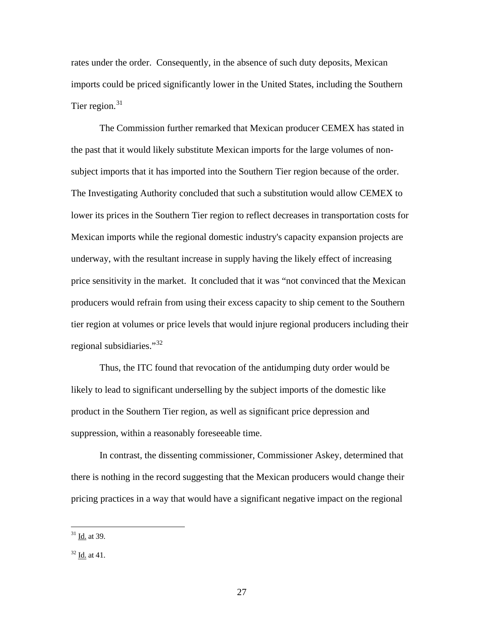rates under the order. Consequently, in the absence of such duty deposits, Mexican imports could be priced significantly lower in the United States, including the Southern Tier region. $31$ 

 The Commission further remarked that Mexican producer CEMEX has stated in the past that it would likely substitute Mexican imports for the large volumes of nonsubject imports that it has imported into the Southern Tier region because of the order. The Investigating Authority concluded that such a substitution would allow CEMEX to lower its prices in the Southern Tier region to reflect decreases in transportation costs for Mexican imports while the regional domestic industry's capacity expansion projects are underway, with the resultant increase in supply having the likely effect of increasing price sensitivity in the market. It concluded that it was "not convinced that the Mexican producers would refrain from using their excess capacity to ship cement to the Southern tier region at volumes or price levels that would injure regional producers including their regional subsidiaries."[32](#page-26-1)

 Thus, the ITC found that revocation of the antidumping duty order would be likely to lead to significant underselling by the subject imports of the domestic like product in the Southern Tier region, as well as significant price depression and suppression, within a reasonably foreseeable time.

 In contrast, the dissenting commissioner, Commissioner Askey, determined that there is nothing in the record suggesting that the Mexican producers would change their pricing practices in a way that would have a significant negative impact on the regional

<span id="page-26-0"></span> $31$  Id. at 39.

<span id="page-26-1"></span> $32$  Id. at 41.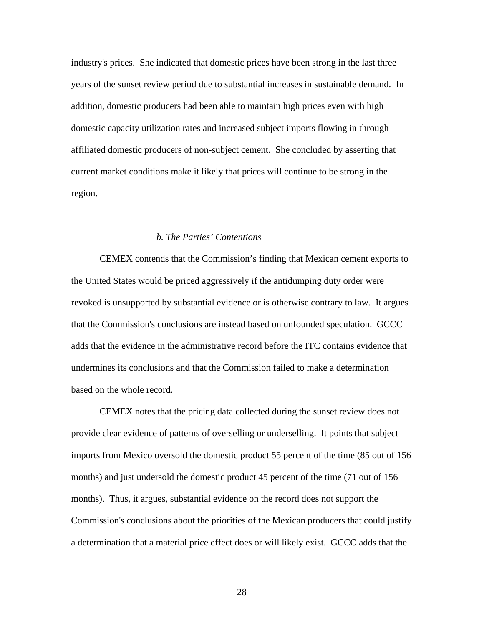industry's prices. She indicated that domestic prices have been strong in the last three years of the sunset review period due to substantial increases in sustainable demand. In addition, domestic producers had been able to maintain high prices even with high domestic capacity utilization rates and increased subject imports flowing in through affiliated domestic producers of non-subject cement. She concluded by asserting that current market conditions make it likely that prices will continue to be strong in the region.

### *b. The Parties' Contentions*

 CEMEX contends that the Commission's finding that Mexican cement exports to the United States would be priced aggressively if the antidumping duty order were revoked is unsupported by substantial evidence or is otherwise contrary to law. It argues that the Commission's conclusions are instead based on unfounded speculation. GCCC adds that the evidence in the administrative record before the ITC contains evidence that undermines its conclusions and that the Commission failed to make a determination based on the whole record.

 CEMEX notes that the pricing data collected during the sunset review does not provide clear evidence of patterns of overselling or underselling. It points that subject imports from Mexico oversold the domestic product 55 percent of the time (85 out of 156 months) and just undersold the domestic product 45 percent of the time (71 out of 156 months). Thus, it argues, substantial evidence on the record does not support the Commission's conclusions about the priorities of the Mexican producers that could justify a determination that a material price effect does or will likely exist. GCCC adds that the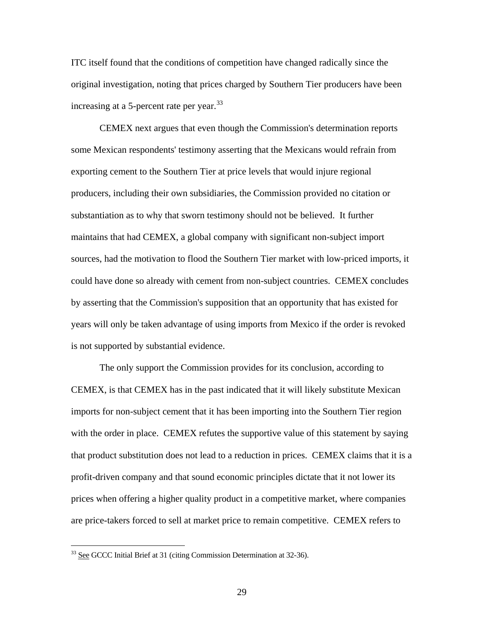ITC itself found that the conditions of competition have changed radically since the original investigation, noting that prices charged by Southern Tier producers have been increasing at a 5-percent rate per year.  $33$ 

 CEMEX next argues that even though the Commission's determination reports some Mexican respondents' testimony asserting that the Mexicans would refrain from exporting cement to the Southern Tier at price levels that would injure regional producers, including their own subsidiaries, the Commission provided no citation or substantiation as to why that sworn testimony should not be believed. It further maintains that had CEMEX, a global company with significant non-subject import sources, had the motivation to flood the Southern Tier market with low-priced imports, it could have done so already with cement from non-subject countries. CEMEX concludes by asserting that the Commission's supposition that an opportunity that has existed for years will only be taken advantage of using imports from Mexico if the order is revoked is not supported by substantial evidence.

 The only support the Commission provides for its conclusion, according to CEMEX, is that CEMEX has in the past indicated that it will likely substitute Mexican imports for non-subject cement that it has been importing into the Southern Tier region with the order in place. CEMEX refutes the supportive value of this statement by saying that product substitution does not lead to a reduction in prices. CEMEX claims that it is a profit-driven company and that sound economic principles dictate that it not lower its prices when offering a higher quality product in a competitive market, where companies are price-takers forced to sell at market price to remain competitive. CEMEX refers to

<span id="page-28-0"></span><sup>&</sup>lt;sup>33</sup> See GCCC Initial Brief at 31 (citing Commission Determination at 32-36).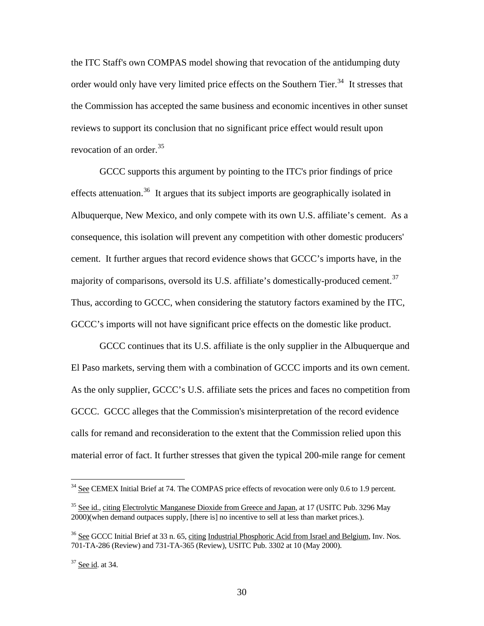the ITC Staff's own COMPAS model showing that revocation of the antidumping duty order would only have very limited price effects on the Southern Tier.<sup>[34](#page-29-0)</sup> It stresses that the Commission has accepted the same business and economic incentives in other sunset reviews to support its conclusion that no significant price effect would result upon revocation of an order.<sup>[35](#page-29-1)</sup>

GCCC supports this argument by pointing to the ITC's prior findings of price effects attenuation.<sup>[36](#page-29-2)</sup> It argues that its subject imports are geographically isolated in Albuquerque, New Mexico, and only compete with its own U.S. affiliate's cement. As a consequence, this isolation will prevent any competition with other domestic producers' cement. It further argues that record evidence shows that GCCC's imports have, in the majority of comparisons, oversold its U.S. affiliate's domestically-produced cement.<sup>[37](#page-29-3)</sup> Thus, according to GCCC, when considering the statutory factors examined by the ITC, GCCC's imports will not have significant price effects on the domestic like product.

GCCC continues that its U.S. affiliate is the only supplier in the Albuquerque and El Paso markets, serving them with a combination of GCCC imports and its own cement. As the only supplier, GCCC's U.S. affiliate sets the prices and faces no competition from GCCC. GCCC alleges that the Commission's misinterpretation of the record evidence calls for remand and reconsideration to the extent that the Commission relied upon this material error of fact. It further stresses that given the typical 200-mile range for cement

<span id="page-29-0"></span> $34$  See CEMEX Initial Brief at 74. The COMPAS price effects of revocation were only 0.6 to 1.9 percent.

<span id="page-29-1"></span><sup>&</sup>lt;sup>35</sup> See id., citing Electrolytic Manganese Dioxide from Greece and Japan, at 17 (USITC Pub. 3296 May 2000)(when demand outpaces supply, [there is] no incentive to sell at less than market prices.).

<span id="page-29-2"></span><sup>&</sup>lt;sup>36</sup> See GCCC Initial Brief at 33 n. 65, citing Industrial Phosphoric Acid from Israel and Belgium, Inv. Nos. 701-TA-286 (Review) and 731-TA-365 (Review), USITC Pub. 3302 at 10 (May 2000).

<span id="page-29-3"></span><sup>37</sup> See id. at 34.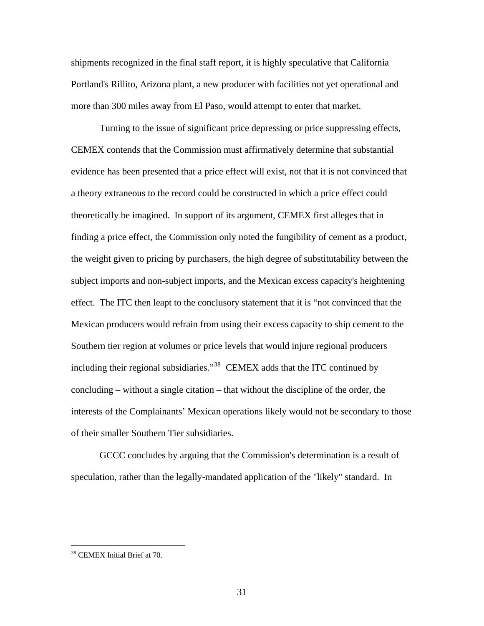shipments recognized in the final staff report, it is highly speculative that California Portland's Rillito, Arizona plant, a new producer with facilities not yet operational and more than 300 miles away from El Paso, would attempt to enter that market.

 Turning to the issue of significant price depressing or price suppressing effects, CEMEX contends that the Commission must affirmatively determine that substantial evidence has been presented that a price effect will exist, not that it is not convinced that a theory extraneous to the record could be constructed in which a price effect could theoretically be imagined. In support of its argument, CEMEX first alleges that in finding a price effect, the Commission only noted the fungibility of cement as a product, the weight given to pricing by purchasers, the high degree of substitutability between the subject imports and non-subject imports, and the Mexican excess capacity's heightening effect. The ITC then leapt to the conclusory statement that it is "not convinced that the Mexican producers would refrain from using their excess capacity to ship cement to the Southern tier region at volumes or price levels that would injure regional producers including their regional subsidiaries."[38](#page-30-0) CEMEX adds that the ITC continued by concluding – without a single citation – that without the discipline of the order, the interests of the Complainants' Mexican operations likely would not be secondary to those of their smaller Southern Tier subsidiaries.

 GCCC concludes by arguing that the Commission's determination is a result of speculation, rather than the legally-mandated application of the "likely" standard. In

<span id="page-30-0"></span><sup>38</sup> CEMEX Initial Brief at 70.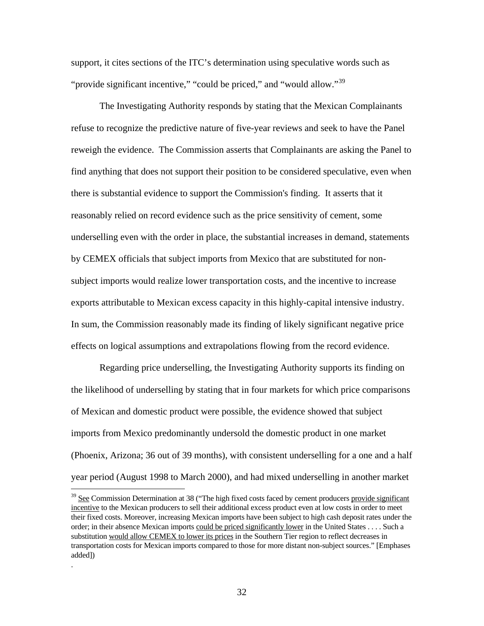support, it cites sections of the ITC's determination using speculative words such as "provide significant incentive," "could be priced," and "would allow."<sup>[39](#page-31-0)</sup>

 The Investigating Authority responds by stating that the Mexican Complainants refuse to recognize the predictive nature of five-year reviews and seek to have the Panel reweigh the evidence. The Commission asserts that Complainants are asking the Panel to find anything that does not support their position to be considered speculative, even when there is substantial evidence to support the Commission's finding. It asserts that it reasonably relied on record evidence such as the price sensitivity of cement, some underselling even with the order in place, the substantial increases in demand, statements by CEMEX officials that subject imports from Mexico that are substituted for nonsubject imports would realize lower transportation costs, and the incentive to increase exports attributable to Mexican excess capacity in this highly-capital intensive industry. In sum, the Commission reasonably made its finding of likely significant negative price effects on logical assumptions and extrapolations flowing from the record evidence.

Regarding price underselling, the Investigating Authority supports its finding on the likelihood of underselling by stating that in four markets for which price comparisons of Mexican and domestic product were possible, the evidence showed that subject imports from Mexico predominantly undersold the domestic product in one market (Phoenix, Arizona; 36 out of 39 months), with consistent underselling for a one and a half year period (August 1998 to March 2000), and had mixed underselling in another market

 $\overline{a}$ 

.

<span id="page-31-0"></span><sup>&</sup>lt;sup>39</sup> See Commission Determination at 38 ("The high fixed costs faced by cement producers provide significant incentive to the Mexican producers to sell their additional excess product even at low costs in order to meet their fixed costs. Moreover, increasing Mexican imports have been subject to high cash deposit rates under the order; in their absence Mexican imports could be priced significantly lower in the United States . . . . Such a substitution would allow CEMEX to lower its prices in the Southern Tier region to reflect decreases in transportation costs for Mexican imports compared to those for more distant non-subject sources." [Emphases added])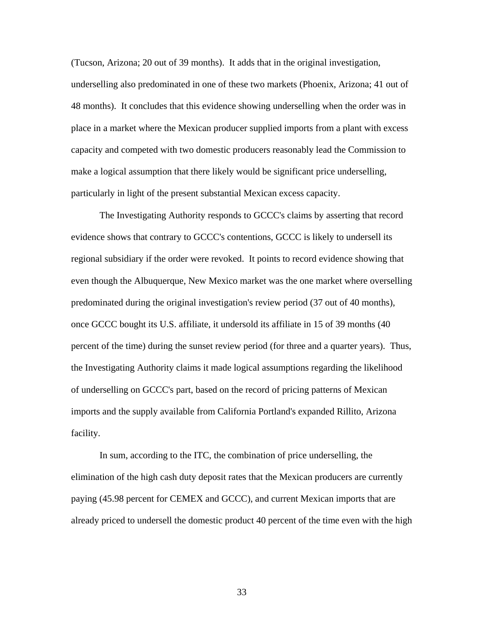(Tucson, Arizona; 20 out of 39 months). It adds that in the original investigation, underselling also predominated in one of these two markets (Phoenix, Arizona; 41 out of 48 months). It concludes that this evidence showing underselling when the order was in place in a market where the Mexican producer supplied imports from a plant with excess capacity and competed with two domestic producers reasonably lead the Commission to make a logical assumption that there likely would be significant price underselling, particularly in light of the present substantial Mexican excess capacity.

 The Investigating Authority responds to GCCC's claims by asserting that record evidence shows that contrary to GCCC's contentions, GCCC is likely to undersell its regional subsidiary if the order were revoked. It points to record evidence showing that even though the Albuquerque, New Mexico market was the one market where overselling predominated during the original investigation's review period (37 out of 40 months), once GCCC bought its U.S. affiliate, it undersold its affiliate in 15 of 39 months (40 percent of the time) during the sunset review period (for three and a quarter years). Thus, the Investigating Authority claims it made logical assumptions regarding the likelihood of underselling on GCCC's part, based on the record of pricing patterns of Mexican imports and the supply available from California Portland's expanded Rillito, Arizona facility.

 In sum, according to the ITC, the combination of price underselling, the elimination of the high cash duty deposit rates that the Mexican producers are currently paying (45.98 percent for CEMEX and GCCC), and current Mexican imports that are already priced to undersell the domestic product 40 percent of the time even with the high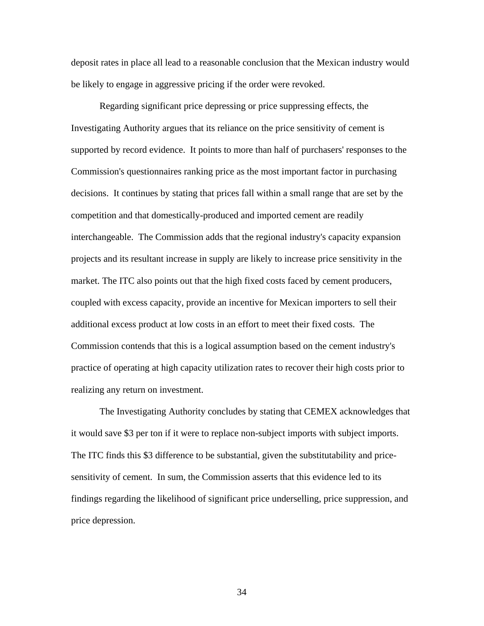deposit rates in place all lead to a reasonable conclusion that the Mexican industry would be likely to engage in aggressive pricing if the order were revoked.

 Regarding significant price depressing or price suppressing effects, the Investigating Authority argues that its reliance on the price sensitivity of cement is supported by record evidence. It points to more than half of purchasers' responses to the Commission's questionnaires ranking price as the most important factor in purchasing decisions. It continues by stating that prices fall within a small range that are set by the competition and that domestically-produced and imported cement are readily interchangeable. The Commission adds that the regional industry's capacity expansion projects and its resultant increase in supply are likely to increase price sensitivity in the market. The ITC also points out that the high fixed costs faced by cement producers, coupled with excess capacity, provide an incentive for Mexican importers to sell their additional excess product at low costs in an effort to meet their fixed costs. The Commission contends that this is a logical assumption based on the cement industry's practice of operating at high capacity utilization rates to recover their high costs prior to realizing any return on investment.

The Investigating Authority concludes by stating that CEMEX acknowledges that it would save \$3 per ton if it were to replace non-subject imports with subject imports. The ITC finds this \$3 difference to be substantial, given the substitutability and pricesensitivity of cement. In sum, the Commission asserts that this evidence led to its findings regarding the likelihood of significant price underselling, price suppression, and price depression.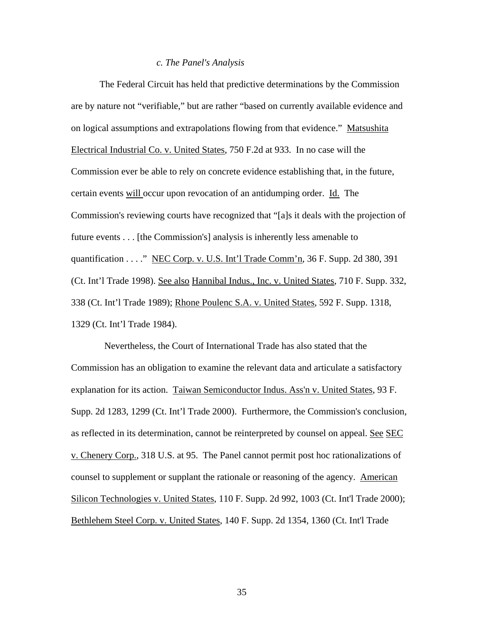#### *c. The Panel's Analysis*

The Federal Circuit has held that predictive determinations by the Commission are by nature not "verifiable," but are rather "based on currently available evidence and on logical assumptions and extrapolations flowing from that evidence." Matsushita Electrical Industrial Co. v. United States, 750 F.2d at 933. In no case will the Commission ever be able to rely on concrete evidence establishing that, in the future, certain events will occur upon revocation of an antidumping order. Id. The Commission's reviewing courts have recognized that "[a]s it deals with the projection of future events . . . [the Commission's] analysis is inherently less amenable to quantification . . . . " NEC Corp. v. U.S. Int'l Trade Comm'n, 36 F. Supp. 2d 380, 391 (Ct. Int'l Trade 1998). See also Hannibal Indus., Inc. v. United States, 710 F. Supp. 332, 338 (Ct. Int'l Trade 1989); Rhone Poulenc S.A. v. United States, 592 F. Supp. 1318, 1329 (Ct. Int'l Trade 1984).

 Nevertheless, the Court of International Trade has also stated that the Commission has an obligation to examine the relevant data and articulate a satisfactory explanation for its action. Taiwan Semiconductor Indus. Ass'n v. United States, 93 F. Supp. 2d 1283, 1299 (Ct. Int'l Trade 2000). Furthermore, the Commission's conclusion, as reflected in its determination, cannot be reinterpreted by counsel on appeal. See SEC v. Chenery Corp., 318 U.S. at 95. The Panel cannot permit post hoc rationalizations of counsel to supplement or supplant the rationale or reasoning of the agency. American Silicon Technologies v. United States, 110 F. Supp. 2d 992, 1003 (Ct. Int'l Trade 2000); Bethlehem Steel Corp. v. United States, 140 F. Supp. 2d 1354, 1360 (Ct. Int'l Trade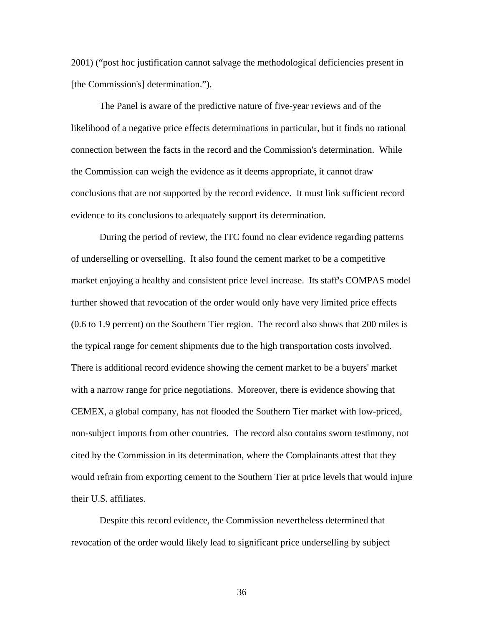2001) ("post hoc justification cannot salvage the methodological deficiencies present in [the Commission's] determination.").

The Panel is aware of the predictive nature of five-year reviews and of the likelihood of a negative price effects determinations in particular, but it finds no rational connection between the facts in the record and the Commission's determination. While the Commission can weigh the evidence as it deems appropriate, it cannot draw conclusions that are not supported by the record evidence. It must link sufficient record evidence to its conclusions to adequately support its determination.

 During the period of review, the ITC found no clear evidence regarding patterns of underselling or overselling. It also found the cement market to be a competitive market enjoying a healthy and consistent price level increase. Its staff's COMPAS model further showed that revocation of the order would only have very limited price effects (0.6 to 1.9 percent) on the Southern Tier region. The record also shows that 200 miles is the typical range for cement shipments due to the high transportation costs involved. There is additional record evidence showing the cement market to be a buyers' market with a narrow range for price negotiations. Moreover, there is evidence showing that CEMEX, a global company, has not flooded the Southern Tier market with low-priced, non-subject imports from other countries*.* The record also contains sworn testimony, not cited by the Commission in its determination, where the Complainants attest that they would refrain from exporting cement to the Southern Tier at price levels that would injure their U.S. affiliates.

 Despite this record evidence, the Commission nevertheless determined that revocation of the order would likely lead to significant price underselling by subject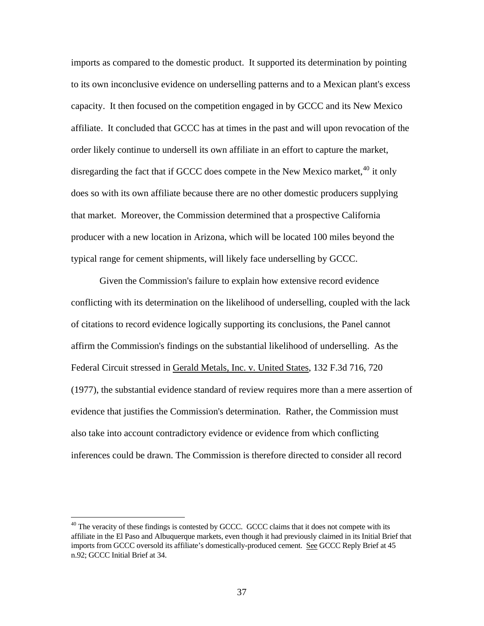imports as compared to the domestic product. It supported its determination by pointing to its own inconclusive evidence on underselling patterns and to a Mexican plant's excess capacity. It then focused on the competition engaged in by GCCC and its New Mexico affiliate. It concluded that GCCC has at times in the past and will upon revocation of the order likely continue to undersell its own affiliate in an effort to capture the market, disregarding the fact that if GCCC does compete in the New Mexico market,  $40$  it only does so with its own affiliate because there are no other domestic producers supplying that market. Moreover, the Commission determined that a prospective California producer with a new location in Arizona, which will be located 100 miles beyond the typical range for cement shipments, will likely face underselling by GCCC.

 Given the Commission's failure to explain how extensive record evidence conflicting with its determination on the likelihood of underselling, coupled with the lack of citations to record evidence logically supporting its conclusions, the Panel cannot affirm the Commission's findings on the substantial likelihood of underselling. As the Federal Circuit stressed in Gerald Metals, Inc. v. United States, 132 F.3d 716, 720 (1977), the substantial evidence standard of review requires more than a mere assertion of evidence that justifies the Commission's determination. Rather, the Commission must also take into account contradictory evidence or evidence from which conflicting inferences could be drawn. The Commission is therefore directed to consider all record

<span id="page-36-0"></span><sup>&</sup>lt;sup>40</sup> The veracity of these findings is contested by GCCC. GCCC claims that it does not compete with its affiliate in the El Paso and Albuquerque markets, even though it had previously claimed in its Initial Brief that imports from GCCC oversold its affiliate's domestically-produced cement. See GCCC Reply Brief at 45 n.92; GCCC Initial Brief at 34.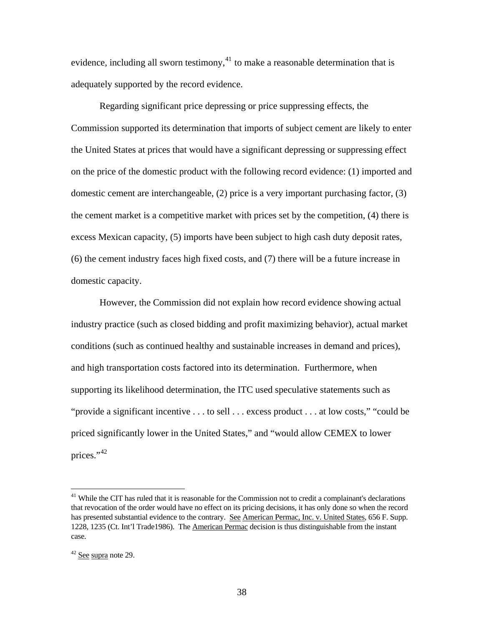evidence, including all sworn testimony, $41$  to make a reasonable determination that is adequately supported by the record evidence.

Regarding significant price depressing or price suppressing effects, the Commission supported its determination that imports of subject cement are likely to enter the United States at prices that would have a significant depressing or suppressing effect on the price of the domestic product with the following record evidence: (1) imported and domestic cement are interchangeable, (2) price is a very important purchasing factor, (3) the cement market is a competitive market with prices set by the competition, (4) there is excess Mexican capacity, (5) imports have been subject to high cash duty deposit rates, (6) the cement industry faces high fixed costs, and (7) there will be a future increase in domestic capacity.

 However, the Commission did not explain how record evidence showing actual industry practice (such as closed bidding and profit maximizing behavior), actual market conditions (such as continued healthy and sustainable increases in demand and prices), and high transportation costs factored into its determination. Furthermore, when supporting its likelihood determination, the ITC used speculative statements such as "provide a significant incentive . . . to sell . . . excess product . . . at low costs," "could be priced significantly lower in the United States," and "would allow CEMEX to lower prices."[42](#page-37-1)

<span id="page-37-0"></span><sup>&</sup>lt;sup>41</sup> While the CIT has ruled that it is reasonable for the Commission not to credit a complainant's declarations that revocation of the order would have no effect on its pricing decisions, it has only done so when the record has presented substantial evidence to the contrary. See American Permac, Inc. v. United States, 656 F. Supp. 1228, 1235 (Ct. Int'l Trade1986). The American Permac decision is thus distinguishable from the instant case.

<span id="page-37-1"></span><sup>42</sup> See supra note 29.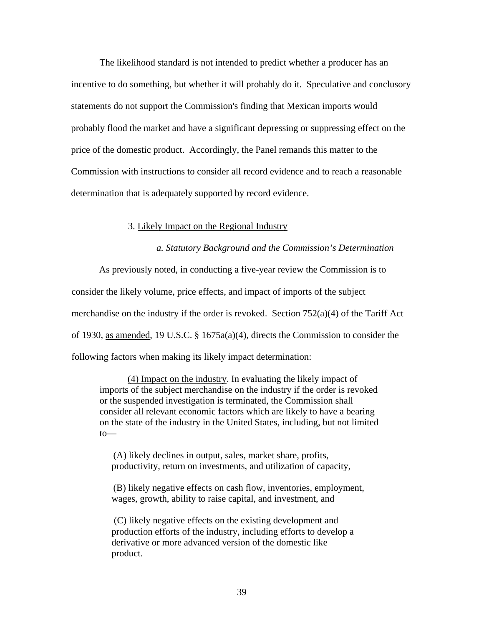The likelihood standard is not intended to predict whether a producer has an incentive to do something, but whether it will probably do it. Speculative and conclusory statements do not support the Commission's finding that Mexican imports would probably flood the market and have a significant depressing or suppressing effect on the price of the domestic product. Accordingly, the Panel remands this matter to the Commission with instructions to consider all record evidence and to reach a reasonable determination that is adequately supported by record evidence.

## 3. Likely Impact on the Regional Industry

*a. Statutory Background and the Commission's Determination* 

As previously noted, in conducting a five-year review the Commission is to consider the likely volume, price effects, and impact of imports of the subject merchandise on the industry if the order is revoked. Section  $752(a)(4)$  of the Tariff Act

of 1930, as amended, 19 U.S.C. § 1675a(a)(4), directs the Commission to consider the

following factors when making its likely impact determination:

(4) Impact on the industry. In evaluating the likely impact of imports of the subject merchandise on the industry if the order is revoked or the suspended investigation is terminated, the Commission shall consider all relevant economic factors which are likely to have a bearing on the state of the industry in the United States, including, but not limited to—

 (A) likely declines in output, sales, market share, profits, productivity, return on investments, and utilization of capacity,

 (B) likely negative effects on cash flow, inventories, employment, wages, growth, ability to raise capital, and investment, and

 (C) likely negative effects on the existing development and production efforts of the industry, including efforts to develop a derivative or more advanced version of the domestic like product.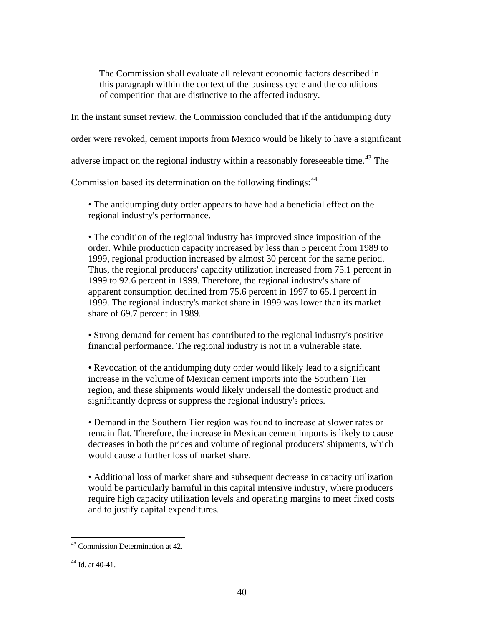The Commission shall evaluate all relevant economic factors described in this paragraph within the context of the business cycle and the conditions of competition that are distinctive to the affected industry.

In the instant sunset review, the Commission concluded that if the antidumping duty

order were revoked, cement imports from Mexico would be likely to have a significant

adverse impact on the regional industry within a reasonably foreseeable time.<sup>[43](#page-39-0)</sup> The

Commission based its determination on the following findings:<sup>[44](#page-39-1)</sup>

• The antidumping duty order appears to have had a beneficial effect on the regional industry's performance.

• The condition of the regional industry has improved since imposition of the order. While production capacity increased by less than 5 percent from 1989 to 1999, regional production increased by almost 30 percent for the same period. Thus, the regional producers' capacity utilization increased from 75.1 percent in 1999 to 92.6 percent in 1999. Therefore, the regional industry's share of apparent consumption declined from 75.6 percent in 1997 to 65.1 percent in 1999. The regional industry's market share in 1999 was lower than its market share of 69.7 percent in 1989.

• Strong demand for cement has contributed to the regional industry's positive financial performance. The regional industry is not in a vulnerable state.

• Revocation of the antidumping duty order would likely lead to a significant increase in the volume of Mexican cement imports into the Southern Tier region, and these shipments would likely undersell the domestic product and significantly depress or suppress the regional industry's prices.

• Demand in the Southern Tier region was found to increase at slower rates or remain flat. Therefore, the increase in Mexican cement imports is likely to cause decreases in both the prices and volume of regional producers' shipments, which would cause a further loss of market share.

• Additional loss of market share and subsequent decrease in capacity utilization would be particularly harmful in this capital intensive industry, where producers require high capacity utilization levels and operating margins to meet fixed costs and to justify capital expenditures.

<span id="page-39-0"></span> $\overline{a}$ <sup>43</sup> Commission Determination at 42.

<span id="page-39-1"></span><sup>&</sup>lt;sup>44</sup> Id. at 40-41.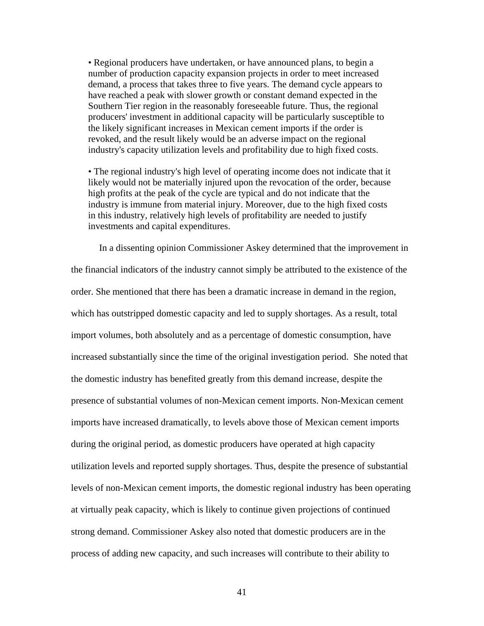• Regional producers have undertaken, or have announced plans, to begin a number of production capacity expansion projects in order to meet increased demand, a process that takes three to five years. The demand cycle appears to have reached a peak with slower growth or constant demand expected in the Southern Tier region in the reasonably foreseeable future. Thus, the regional producers' investment in additional capacity will be particularly susceptible to the likely significant increases in Mexican cement imports if the order is revoked, and the result likely would be an adverse impact on the regional industry's capacity utilization levels and profitability due to high fixed costs.

• The regional industry's high level of operating income does not indicate that it likely would not be materially injured upon the revocation of the order, because high profits at the peak of the cycle are typical and do not indicate that the industry is immune from material injury. Moreover, due to the high fixed costs in this industry, relatively high levels of profitability are needed to justify investments and capital expenditures.

In a dissenting opinion Commissioner Askey determined that the improvement in the financial indicators of the industry cannot simply be attributed to the existence of the order. She mentioned that there has been a dramatic increase in demand in the region, which has outstripped domestic capacity and led to supply shortages. As a result, total import volumes, both absolutely and as a percentage of domestic consumption, have increased substantially since the time of the original investigation period. She noted that the domestic industry has benefited greatly from this demand increase, despite the presence of substantial volumes of non-Mexican cement imports. Non-Mexican cement imports have increased dramatically, to levels above those of Mexican cement imports during the original period, as domestic producers have operated at high capacity utilization levels and reported supply shortages. Thus, despite the presence of substantial levels of non-Mexican cement imports, the domestic regional industry has been operating at virtually peak capacity, which is likely to continue given projections of continued strong demand. Commissioner Askey also noted that domestic producers are in the process of adding new capacity, and such increases will contribute to their ability to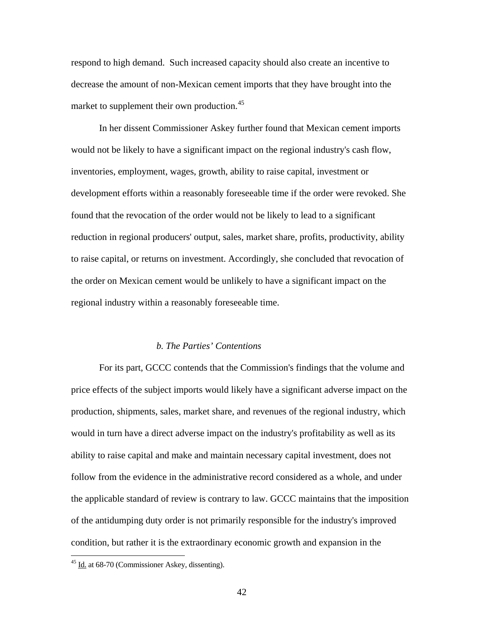respond to high demand. Such increased capacity should also create an incentive to decrease the amount of non-Mexican cement imports that they have brought into the market to supplement their own production.<sup>[45](#page-41-0)</sup>

In her dissent Commissioner Askey further found that Mexican cement imports would not be likely to have a significant impact on the regional industry's cash flow, inventories, employment, wages, growth, ability to raise capital, investment or development efforts within a reasonably foreseeable time if the order were revoked. She found that the revocation of the order would not be likely to lead to a significant reduction in regional producers' output, sales, market share, profits, productivity, ability to raise capital, or returns on investment. Accordingly, she concluded that revocation of the order on Mexican cement would be unlikely to have a significant impact on the regional industry within a reasonably foreseeable time.

#### *b. The Parties' Contentions*

For its part, GCCC contends that the Commission's findings that the volume and price effects of the subject imports would likely have a significant adverse impact on the production, shipments, sales, market share, and revenues of the regional industry, which would in turn have a direct adverse impact on the industry's profitability as well as its ability to raise capital and make and maintain necessary capital investment, does not follow from the evidence in the administrative record considered as a whole, and under the applicable standard of review is contrary to law. GCCC maintains that the imposition of the antidumping duty order is not primarily responsible for the industry's improved condition, but rather it is the extraordinary economic growth and expansion in the

<span id="page-41-0"></span><sup>45</sup> Id. at 68-70 (Commissioner Askey, dissenting).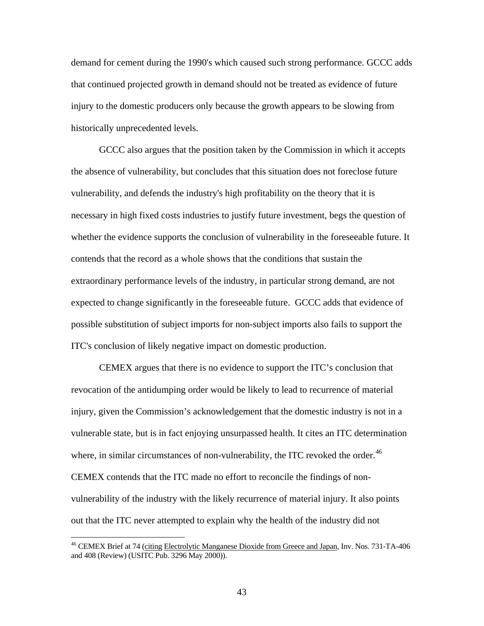demand for cement during the 1990's which caused such strong performance. GCCC adds that continued projected growth in demand should not be treated as evidence of future injury to the domestic producers only because the growth appears to be slowing from historically unprecedented levels.

GCCC also argues that the position taken by the Commission in which it accepts the absence of vulnerability, but concludes that this situation does not foreclose future vulnerability, and defends the industry's high profitability on the theory that it is necessary in high fixed costs industries to justify future investment, begs the question of whether the evidence supports the conclusion of vulnerability in the foreseeable future. It contends that the record as a whole shows that the conditions that sustain the extraordinary performance levels of the industry, in particular strong demand, are not expected to change significantly in the foreseeable future. GCCC adds that evidence of possible substitution of subject imports for non-subject imports also fails to support the ITC's conclusion of likely negative impact on domestic production.

CEMEX argues that there is no evidence to support the ITC's conclusion that revocation of the antidumping order would be likely to lead to recurrence of material injury, given the Commission's acknowledgement that the domestic industry is not in a vulnerable state, but is in fact enjoying unsurpassed health. It cites an ITC determination where, in similar circumstances of non-vulnerability, the ITC revoked the order.<sup>[46](#page-42-0)</sup> CEMEX contends that the ITC made no effort to reconcile the findings of nonvulnerability of the industry with the likely recurrence of material injury. It also points out that the ITC never attempted to explain why the health of the industry did not

<span id="page-42-0"></span><sup>&</sup>lt;sup>46</sup> CEMEX Brief at 74 (citing Electrolytic Manganese Dioxide from Greece and Japan, Inv. Nos. 731-TA-406 and 408 (Review) (USITC Pub. 3296 May 2000)).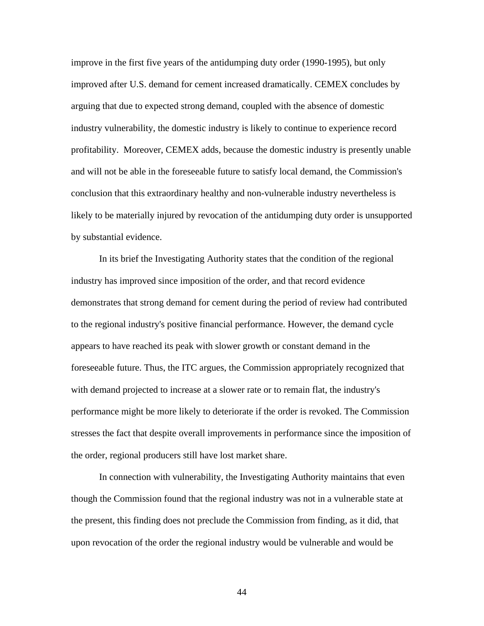improve in the first five years of the antidumping duty order (1990-1995), but only improved after U.S. demand for cement increased dramatically. CEMEX concludes by arguing that due to expected strong demand, coupled with the absence of domestic industry vulnerability, the domestic industry is likely to continue to experience record profitability. Moreover, CEMEX adds, because the domestic industry is presently unable and will not be able in the foreseeable future to satisfy local demand, the Commission's conclusion that this extraordinary healthy and non-vulnerable industry nevertheless is likely to be materially injured by revocation of the antidumping duty order is unsupported by substantial evidence.

In its brief the Investigating Authority states that the condition of the regional industry has improved since imposition of the order, and that record evidence demonstrates that strong demand for cement during the period of review had contributed to the regional industry's positive financial performance. However, the demand cycle appears to have reached its peak with slower growth or constant demand in the foreseeable future. Thus, the ITC argues, the Commission appropriately recognized that with demand projected to increase at a slower rate or to remain flat, the industry's performance might be more likely to deteriorate if the order is revoked. The Commission stresses the fact that despite overall improvements in performance since the imposition of the order, regional producers still have lost market share.

In connection with vulnerability, the Investigating Authority maintains that even though the Commission found that the regional industry was not in a vulnerable state at the present, this finding does not preclude the Commission from finding, as it did, that upon revocation of the order the regional industry would be vulnerable and would be

44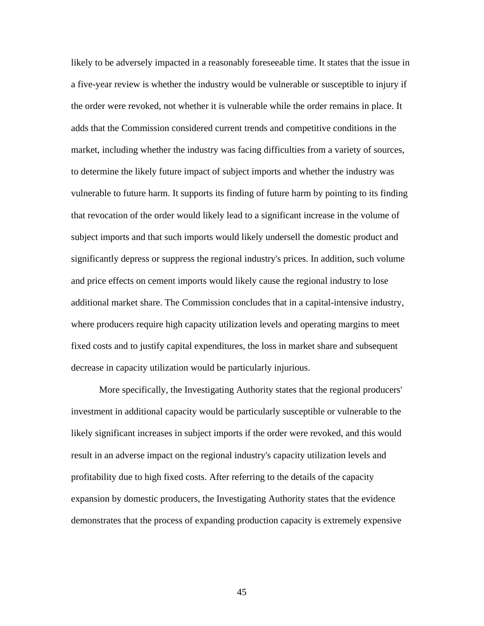likely to be adversely impacted in a reasonably foreseeable time. It states that the issue in a five-year review is whether the industry would be vulnerable or susceptible to injury if the order were revoked, not whether it is vulnerable while the order remains in place. It adds that the Commission considered current trends and competitive conditions in the market, including whether the industry was facing difficulties from a variety of sources, to determine the likely future impact of subject imports and whether the industry was vulnerable to future harm. It supports its finding of future harm by pointing to its finding that revocation of the order would likely lead to a significant increase in the volume of subject imports and that such imports would likely undersell the domestic product and significantly depress or suppress the regional industry's prices. In addition, such volume and price effects on cement imports would likely cause the regional industry to lose additional market share. The Commission concludes that in a capital-intensive industry, where producers require high capacity utilization levels and operating margins to meet fixed costs and to justify capital expenditures, the loss in market share and subsequent decrease in capacity utilization would be particularly injurious.

More specifically, the Investigating Authority states that the regional producers' investment in additional capacity would be particularly susceptible or vulnerable to the likely significant increases in subject imports if the order were revoked, and this would result in an adverse impact on the regional industry's capacity utilization levels and profitability due to high fixed costs. After referring to the details of the capacity expansion by domestic producers, the Investigating Authority states that the evidence demonstrates that the process of expanding production capacity is extremely expensive

45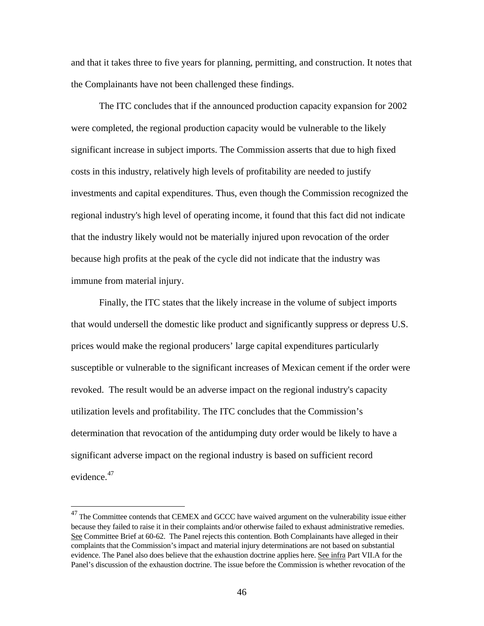and that it takes three to five years for planning, permitting, and construction. It notes that the Complainants have not been challenged these findings.

The ITC concludes that if the announced production capacity expansion for 2002 were completed, the regional production capacity would be vulnerable to the likely significant increase in subject imports. The Commission asserts that due to high fixed costs in this industry, relatively high levels of profitability are needed to justify investments and capital expenditures. Thus, even though the Commission recognized the regional industry's high level of operating income, it found that this fact did not indicate that the industry likely would not be materially injured upon revocation of the order because high profits at the peak of the cycle did not indicate that the industry was immune from material injury.

Finally, the ITC states that the likely increase in the volume of subject imports that would undersell the domestic like product and significantly suppress or depress U.S. prices would make the regional producers' large capital expenditures particularly susceptible or vulnerable to the significant increases of Mexican cement if the order were revoked. The result would be an adverse impact on the regional industry's capacity utilization levels and profitability. The ITC concludes that the Commission's determination that revocation of the antidumping duty order would be likely to have a significant adverse impact on the regional industry is based on sufficient record evidence.<sup>[47](#page-45-0)</sup>

<span id="page-45-0"></span> $47$  The Committee contends that CEMEX and GCCC have waived argument on the vulnerability issue either because they failed to raise it in their complaints and/or otherwise failed to exhaust administrative remedies. See Committee Brief at 60-62. The Panel rejects this contention. Both Complainants have alleged in their complaints that the Commission's impact and material injury determinations are not based on substantial evidence. The Panel also does believe that the exhaustion doctrine applies here. See infra Part VII.A for the Panel's discussion of the exhaustion doctrine. The issue before the Commission is whether revocation of the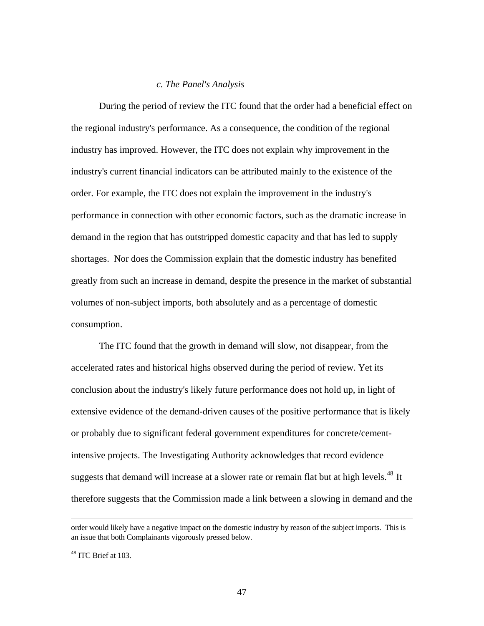## *c. The Panel's Analysis*

During the period of review the ITC found that the order had a beneficial effect on the regional industry's performance. As a consequence, the condition of the regional industry has improved. However, the ITC does not explain why improvement in the industry's current financial indicators can be attributed mainly to the existence of the order. For example, the ITC does not explain the improvement in the industry's performance in connection with other economic factors, such as the dramatic increase in demand in the region that has outstripped domestic capacity and that has led to supply shortages. Nor does the Commission explain that the domestic industry has benefited greatly from such an increase in demand, despite the presence in the market of substantial volumes of non-subject imports, both absolutely and as a percentage of domestic consumption.

The ITC found that the growth in demand will slow, not disappear, from the accelerated rates and historical highs observed during the period of review. Yet its conclusion about the industry's likely future performance does not hold up, in light of extensive evidence of the demand-driven causes of the positive performance that is likely or probably due to significant federal government expenditures for concrete/cementintensive projects. The Investigating Authority acknowledges that record evidence suggests that demand will increase at a slower rate or remain flat but at high levels.<sup>[48](#page-46-0)</sup> It therefore suggests that the Commission made a link between a slowing in demand and the

order would likely have a negative impact on the domestic industry by reason of the subject imports. This is an issue that both Complainants vigorously pressed below.

<span id="page-46-0"></span><sup>48</sup> ITC Brief at 103.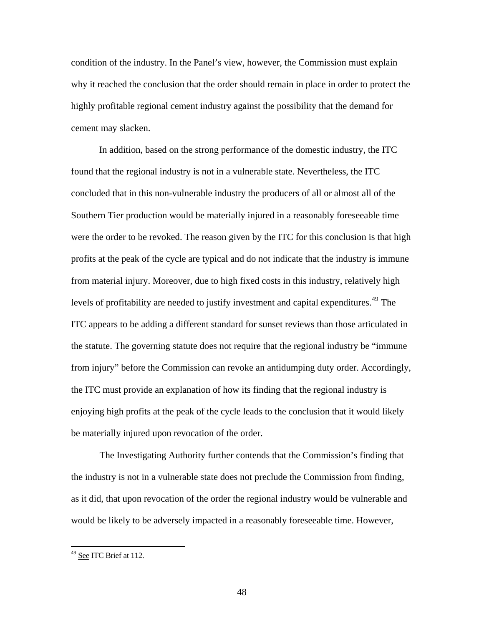condition of the industry. In the Panel's view, however, the Commission must explain why it reached the conclusion that the order should remain in place in order to protect the highly profitable regional cement industry against the possibility that the demand for cement may slacken.

In addition, based on the strong performance of the domestic industry, the ITC found that the regional industry is not in a vulnerable state. Nevertheless, the ITC concluded that in this non-vulnerable industry the producers of all or almost all of the Southern Tier production would be materially injured in a reasonably foreseeable time were the order to be revoked. The reason given by the ITC for this conclusion is that high profits at the peak of the cycle are typical and do not indicate that the industry is immune from material injury. Moreover, due to high fixed costs in this industry, relatively high levels of profitability are needed to justify investment and capital expenditures.<sup>[49](#page-47-0)</sup> The ITC appears to be adding a different standard for sunset reviews than those articulated in the statute. The governing statute does not require that the regional industry be "immune from injury" before the Commission can revoke an antidumping duty order. Accordingly, the ITC must provide an explanation of how its finding that the regional industry is enjoying high profits at the peak of the cycle leads to the conclusion that it would likely be materially injured upon revocation of the order.

The Investigating Authority further contends that the Commission's finding that the industry is not in a vulnerable state does not preclude the Commission from finding, as it did, that upon revocation of the order the regional industry would be vulnerable and would be likely to be adversely impacted in a reasonably foreseeable time. However,

<span id="page-47-0"></span><sup>&</sup>lt;sup>49</sup> See ITC Brief at 112.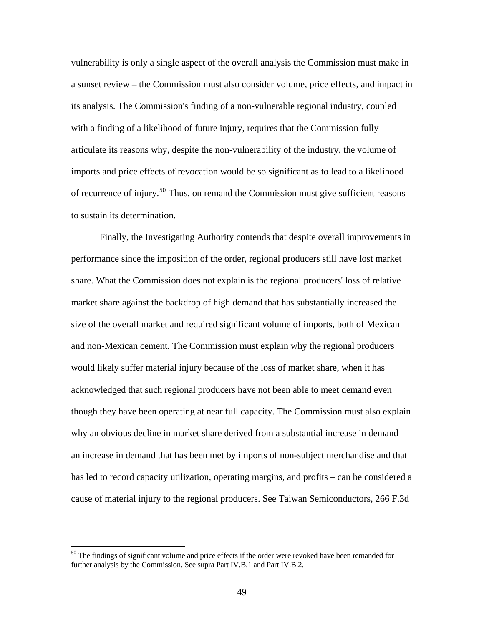vulnerability is only a single aspect of the overall analysis the Commission must make in a sunset review – the Commission must also consider volume, price effects, and impact in its analysis. The Commission's finding of a non-vulnerable regional industry, coupled with a finding of a likelihood of future injury, requires that the Commission fully articulate its reasons why, despite the non-vulnerability of the industry, the volume of imports and price effects of revocation would be so significant as to lead to a likelihood of recurrence of injury.<sup>[50](#page-48-0)</sup> Thus, on remand the Commission must give sufficient reasons to sustain its determination.

Finally, the Investigating Authority contends that despite overall improvements in performance since the imposition of the order, regional producers still have lost market share. What the Commission does not explain is the regional producers' loss of relative market share against the backdrop of high demand that has substantially increased the size of the overall market and required significant volume of imports, both of Mexican and non-Mexican cement. The Commission must explain why the regional producers would likely suffer material injury because of the loss of market share, when it has acknowledged that such regional producers have not been able to meet demand even though they have been operating at near full capacity. The Commission must also explain why an obvious decline in market share derived from a substantial increase in demand – an increase in demand that has been met by imports of non-subject merchandise and that has led to record capacity utilization, operating margins, and profits – can be considered a cause of material injury to the regional producers. See Taiwan Semiconductors, 266 F.3d

<span id="page-48-0"></span> $50$  The findings of significant volume and price effects if the order were revoked have been remanded for further analysis by the Commission. See supra Part IV.B.1 and Part IV.B.2.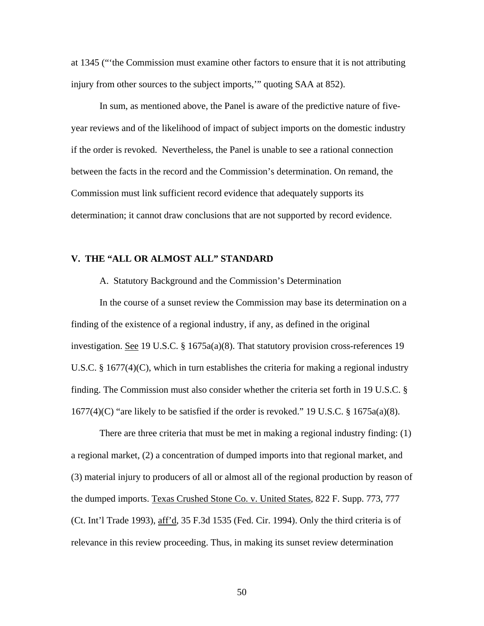at 1345 ("'the Commission must examine other factors to ensure that it is not attributing injury from other sources to the subject imports,'" quoting SAA at 852).

In sum, as mentioned above, the Panel is aware of the predictive nature of fiveyear reviews and of the likelihood of impact of subject imports on the domestic industry if the order is revoked. Nevertheless, the Panel is unable to see a rational connection between the facts in the record and the Commission's determination. On remand, the Commission must link sufficient record evidence that adequately supports its determination; it cannot draw conclusions that are not supported by record evidence.

# **V. THE "ALL OR ALMOST ALL" STANDARD**

A. Statutory Background and the Commission's Determination

In the course of a sunset review the Commission may base its determination on a finding of the existence of a regional industry, if any, as defined in the original investigation. <u>See</u> 19 U.S.C. § 1675a(a)(8). That statutory provision cross-references 19 U.S.C. § 1677(4)(C), which in turn establishes the criteria for making a regional industry finding. The Commission must also consider whether the criteria set forth in 19 U.S.C. §  $1677(4)(C)$  "are likely to be satisfied if the order is revoked." 19 U.S.C. § 1675a(a)(8).

There are three criteria that must be met in making a regional industry finding: (1) a regional market, (2) a concentration of dumped imports into that regional market, and (3) material injury to producers of all or almost all of the regional production by reason of the dumped imports. Texas Crushed Stone Co. v. United States, 822 F. Supp. 773, 777 (Ct. Int'l Trade 1993), aff'd, 35 F.3d 1535 (Fed. Cir. 1994). Only the third criteria is of relevance in this review proceeding. Thus, in making its sunset review determination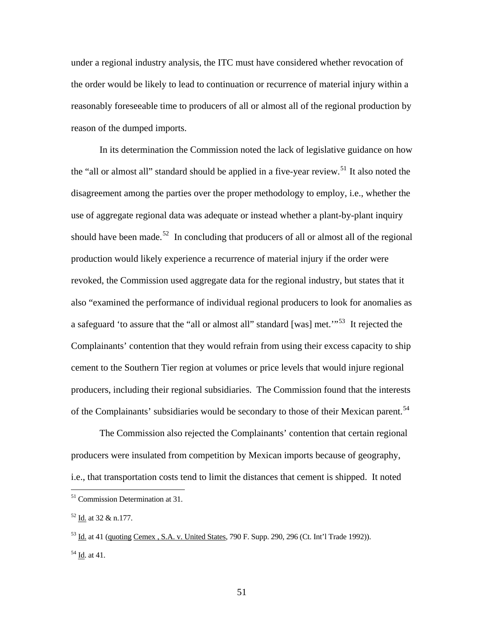under a regional industry analysis, the ITC must have considered whether revocation of the order would be likely to lead to continuation or recurrence of material injury within a reasonably foreseeable time to producers of all or almost all of the regional production by reason of the dumped imports.

In its determination the Commission noted the lack of legislative guidance on how the "all or almost all" standard should be applied in a five-year review.<sup>[51](#page-50-0)</sup> It also noted the disagreement among the parties over the proper methodology to employ, i.e., whether the use of aggregate regional data was adequate or instead whether a plant-by-plant inquiry should have been made.<sup>[52](#page-50-1)</sup> In concluding that producers of all or almost all of the regional production would likely experience a recurrence of material injury if the order were revoked, the Commission used aggregate data for the regional industry, but states that it also "examined the performance of individual regional producers to look for anomalies as a safeguard 'to assure that the "all or almost all" standard [was] met."<sup>[53](#page-50-2)</sup> It rejected the Complainants' contention that they would refrain from using their excess capacity to ship cement to the Southern Tier region at volumes or price levels that would injure regional producers, including their regional subsidiaries. The Commission found that the interests of the Complainants' subsidiaries would be secondary to those of their Mexican parent.<sup>[54](#page-50-3)</sup>

The Commission also rejected the Complainants' contention that certain regional producers were insulated from competition by Mexican imports because of geography, i.e., that transportation costs tend to limit the distances that cement is shipped. It noted

<span id="page-50-0"></span><sup>51</sup> Commission Determination at 31.

<span id="page-50-1"></span><sup>52</sup> Id. at 32 & n.177.

<span id="page-50-3"></span><span id="page-50-2"></span><sup>53</sup> Id. at 41 (quoting Cemex , S.A. v. United States, 790 F. Supp. 290, 296 (Ct. Int'l Trade 1992)).  $54$  Id. at 41.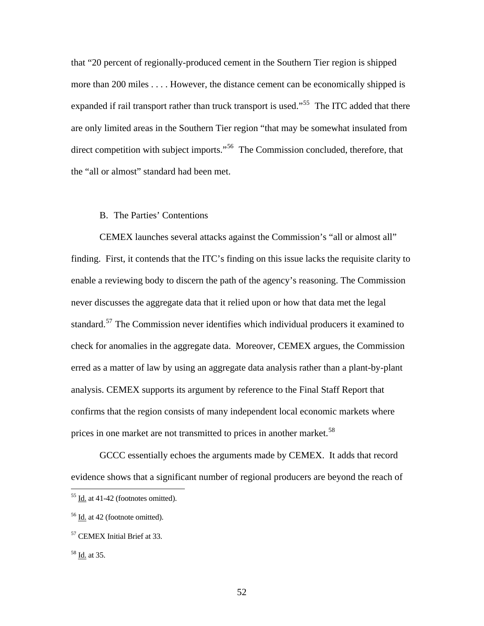that "20 percent of regionally-produced cement in the Southern Tier region is shipped more than 200 miles . . . . However, the distance cement can be economically shipped is expanded if rail transport rather than truck transport is used."<sup>[55](#page-51-0)</sup> The ITC added that there are only limited areas in the Southern Tier region "that may be somewhat insulated from direct competition with subject imports."<sup>[56](#page-51-1)</sup> The Commission concluded, therefore, that the "all or almost" standard had been met.

### B. The Parties' Contentions

CEMEX launches several attacks against the Commission's "all or almost all" finding. First, it contends that the ITC's finding on this issue lacks the requisite clarity to enable a reviewing body to discern the path of the agency's reasoning. The Commission never discusses the aggregate data that it relied upon or how that data met the legal standard.[57](#page-51-2) The Commission never identifies which individual producers it examined to check for anomalies in the aggregate data. Moreover, CEMEX argues, the Commission erred as a matter of law by using an aggregate data analysis rather than a plant-by-plant analysis. CEMEX supports its argument by reference to the Final Staff Report that confirms that the region consists of many independent local economic markets where prices in one market are not transmitted to prices in another market.<sup>[58](#page-51-3)</sup>

GCCC essentially echoes the arguments made by CEMEX. It adds that record evidence shows that a significant number of regional producers are beyond the reach of

<span id="page-51-0"></span> $55$  Id. at 41-42 (footnotes omitted).

<span id="page-51-1"></span><sup>56</sup> Id. at 42 (footnote omitted).

<span id="page-51-2"></span><sup>57</sup> CEMEX Initial Brief at 33.

<span id="page-51-3"></span><sup>58</sup> Id. at 35.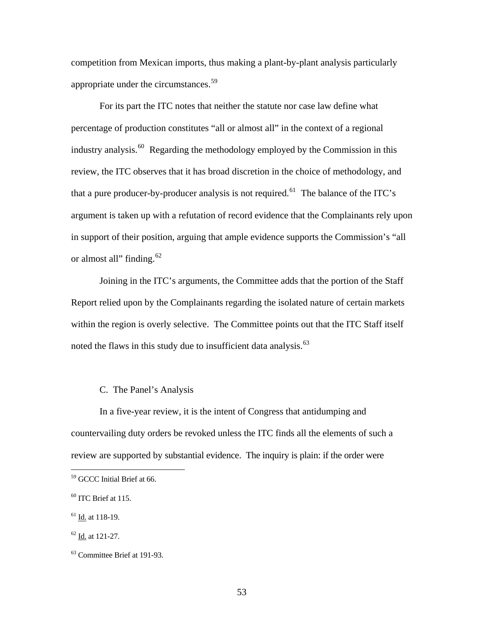competition from Mexican imports, thus making a plant-by-plant analysis particularly appropriate under the circumstances.<sup>[59](#page-52-0)</sup>

For its part the ITC notes that neither the statute nor case law define what percentage of production constitutes "all or almost all" in the context of a regional industry analysis.<sup>[60](#page-52-1)</sup> Regarding the methodology employed by the Commission in this review, the ITC observes that it has broad discretion in the choice of methodology, and that a pure producer-by-producer analysis is not required.<sup>[61](#page-52-2)</sup> The balance of the ITC's argument is taken up with a refutation of record evidence that the Complainants rely upon in support of their position, arguing that ample evidence supports the Commission's "all or almost all" finding.<sup>[62](#page-52-3)</sup>

Joining in the ITC's arguments, the Committee adds that the portion of the Staff Report relied upon by the Complainants regarding the isolated nature of certain markets within the region is overly selective. The Committee points out that the ITC Staff itself noted the flaws in this study due to insufficient data analysis.<sup>63</sup>

### C. The Panel's Analysis

In a five-year review, it is the intent of Congress that antidumping and countervailing duty orders be revoked unless the ITC finds all the elements of such a review are supported by substantial evidence. The inquiry is plain: if the order were

<span id="page-52-0"></span><sup>59</sup> GCCC Initial Brief at 66.

<span id="page-52-1"></span> $60$  ITC Brief at 115.

<span id="page-52-2"></span><sup>61</sup> Id. at 118-19.

<span id="page-52-3"></span><sup>62</sup> Id. at 121-27.

<span id="page-52-4"></span><sup>63</sup> Committee Brief at 191-93.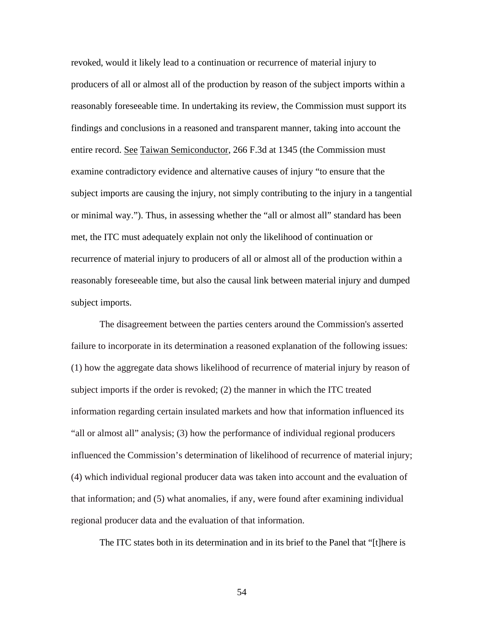revoked, would it likely lead to a continuation or recurrence of material injury to producers of all or almost all of the production by reason of the subject imports within a reasonably foreseeable time. In undertaking its review, the Commission must support its findings and conclusions in a reasoned and transparent manner, taking into account the entire record. See Taiwan Semiconductor, 266 F.3d at 1345 (the Commission must examine contradictory evidence and alternative causes of injury "to ensure that the subject imports are causing the injury, not simply contributing to the injury in a tangential or minimal way."). Thus, in assessing whether the "all or almost all" standard has been met, the ITC must adequately explain not only the likelihood of continuation or recurrence of material injury to producers of all or almost all of the production within a reasonably foreseeable time, but also the causal link between material injury and dumped subject imports.

The disagreement between the parties centers around the Commission's asserted failure to incorporate in its determination a reasoned explanation of the following issues: (1) how the aggregate data shows likelihood of recurrence of material injury by reason of subject imports if the order is revoked; (2) the manner in which the ITC treated information regarding certain insulated markets and how that information influenced its "all or almost all" analysis; (3) how the performance of individual regional producers influenced the Commission's determination of likelihood of recurrence of material injury; (4) which individual regional producer data was taken into account and the evaluation of that information; and (5) what anomalies, if any, were found after examining individual regional producer data and the evaluation of that information.

The ITC states both in its determination and in its brief to the Panel that "[t]here is

54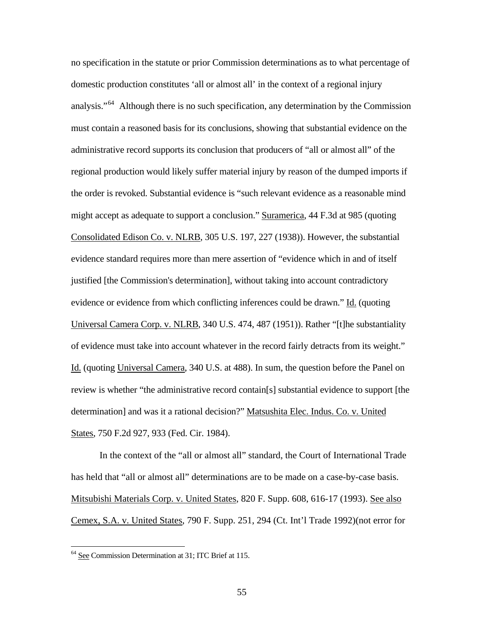no specification in the statute or prior Commission determinations as to what percentage of domestic production constitutes 'all or almost all' in the context of a regional injury analysis."<sup>[64](#page-54-0)</sup> Although there is no such specification, any determination by the Commission must contain a reasoned basis for its conclusions, showing that substantial evidence on the administrative record supports its conclusion that producers of "all or almost all" of the regional production would likely suffer material injury by reason of the dumped imports if the order is revoked. Substantial evidence is "such relevant evidence as a reasonable mind might accept as adequate to support a conclusion." Suramerica, 44 F.3d at 985 (quoting Consolidated Edison Co. v. NLRB, 305 U.S. 197, 227 (1938)). However, the substantial evidence standard requires more than mere assertion of "evidence which in and of itself justified [the Commission's determination], without taking into account contradictory evidence or evidence from which conflicting inferences could be drawn." Id. (quoting Universal Camera Corp. v. NLRB, 340 U.S. 474, 487 (1951)). Rather "[t]he substantiality of evidence must take into account whatever in the record fairly detracts from its weight." Id. (quoting Universal Camera, 340 U.S. at 488). In sum, the question before the Panel on review is whether "the administrative record contain[s] substantial evidence to support [the determination] and was it a rational decision?" Matsushita Elec. Indus. Co. v. United States, 750 F.2d 927, 933 (Fed. Cir. 1984).

In the context of the "all or almost all" standard, the Court of International Trade has held that "all or almost all" determinations are to be made on a case-by-case basis. Mitsubishi Materials Corp. v. United States, 820 F. Supp. 608, 616-17 (1993). See also Cemex, S.A. v. United States, 790 F. Supp. 251, 294 (Ct. Int'l Trade 1992)(not error for

<span id="page-54-0"></span><sup>&</sup>lt;sup>64</sup> See Commission Determination at 31; ITC Brief at 115.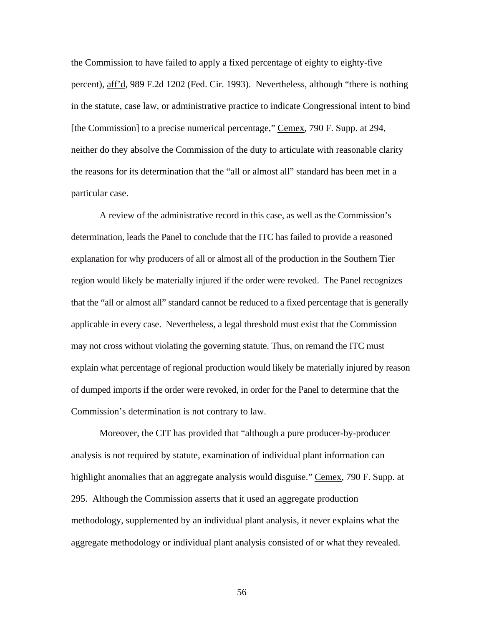the Commission to have failed to apply a fixed percentage of eighty to eighty-five percent), aff'd, 989 F.2d 1202 (Fed. Cir. 1993). Nevertheless, although "there is nothing in the statute, case law, or administrative practice to indicate Congressional intent to bind [the Commission] to a precise numerical percentage," Cemex, 790 F. Supp. at 294, neither do they absolve the Commission of the duty to articulate with reasonable clarity the reasons for its determination that the "all or almost all" standard has been met in a particular case.

A review of the administrative record in this case, as well as the Commission's determination, leads the Panel to conclude that the ITC has failed to provide a reasoned explanation for why producers of all or almost all of the production in the Southern Tier region would likely be materially injured if the order were revoked. The Panel recognizes that the "all or almost all" standard cannot be reduced to a fixed percentage that is generally applicable in every case. Nevertheless, a legal threshold must exist that the Commission may not cross without violating the governing statute. Thus, on remand the ITC must explain what percentage of regional production would likely be materially injured by reason of dumped imports if the order were revoked, in order for the Panel to determine that the Commission's determination is not contrary to law.

Moreover, the CIT has provided that "although a pure producer-by-producer analysis is not required by statute, examination of individual plant information can highlight anomalies that an aggregate analysis would disguise." Cemex, 790 F. Supp. at 295. Although the Commission asserts that it used an aggregate production methodology, supplemented by an individual plant analysis, it never explains what the aggregate methodology or individual plant analysis consisted of or what they revealed.

56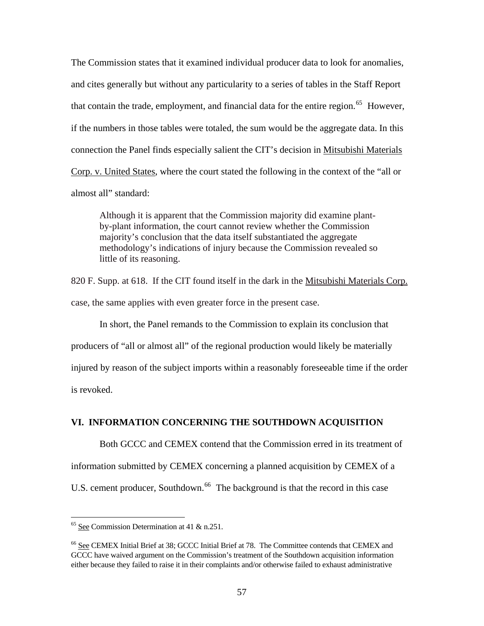The Commission states that it examined individual producer data to look for anomalies, and cites generally but without any particularity to a series of tables in the Staff Report that contain the trade, employment, and financial data for the entire region.<sup>[65](#page-56-0)</sup> However, if the numbers in those tables were totaled, the sum would be the aggregate data. In this connection the Panel finds especially salient the CIT's decision in Mitsubishi Materials Corp. v. United States, where the court stated the following in the context of the "all or almost all" standard:

Although it is apparent that the Commission majority did examine plantby-plant information, the court cannot review whether the Commission majority's conclusion that the data itself substantiated the aggregate methodology's indications of injury because the Commission revealed so little of its reasoning.

820 F. Supp. at 618. If the CIT found itself in the dark in the Mitsubishi Materials Corp. case, the same applies with even greater force in the present case.

In short, the Panel remands to the Commission to explain its conclusion that producers of "all or almost all" of the regional production would likely be materially injured by reason of the subject imports within a reasonably foreseeable time if the order is revoked.

# **VI. INFORMATION CONCERNING THE SOUTHDOWN ACQUISITION**

Both GCCC and CEMEX contend that the Commission erred in its treatment of information submitted by CEMEX concerning a planned acquisition by CEMEX of a U.S. cement producer, Southdown.<sup>[66](#page-56-1)</sup> The background is that the record in this case

<span id="page-56-0"></span> $65$  See Commission Determination at 41 & n.251.

<span id="page-56-1"></span><sup>66</sup> See CEMEX Initial Brief at 38; GCCC Initial Brief at 78. The Committee contends that CEMEX and GCCC have waived argument on the Commission's treatment of the Southdown acquisition information either because they failed to raise it in their complaints and/or otherwise failed to exhaust administrative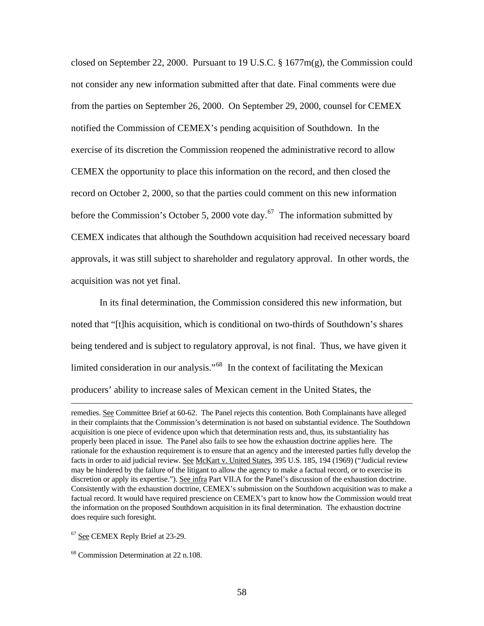closed on September 22, 2000. Pursuant to 19 U.S.C. § 1677m(g), the Commission could not consider any new information submitted after that date. Final comments were due from the parties on September 26, 2000. On September 29, 2000, counsel for CEMEX notified the Commission of CEMEX's pending acquisition of Southdown. In the exercise of its discretion the Commission reopened the administrative record to allow CEMEX the opportunity to place this information on the record, and then closed the record on October 2, 2000, so that the parties could comment on this new information before the Commission's October 5, 2000 vote day.<sup>[67](#page-57-0)</sup> The information submitted by CEMEX indicates that although the Southdown acquisition had received necessary board approvals, it was still subject to shareholder and regulatory approval. In other words, the acquisition was not yet final.

In its final determination, the Commission considered this new information, but noted that "[t]his acquisition, which is conditional on two-thirds of Southdown's shares being tendered and is subject to regulatory approval, is not final. Thus, we have given it limited consideration in our analysis."<sup>[68](#page-57-1)</sup> In the context of facilitating the Mexican producers' ability to increase sales of Mexican cement in the United States, the

<span id="page-57-0"></span><sup>67</sup> See CEMEX Reply Brief at 23-29.

 $\overline{a}$ 

<span id="page-57-1"></span><sup>68</sup> Commission Determination at 22 n.108.

remedies. See Committee Brief at 60-62. The Panel rejects this contention. Both Complainants have alleged in their complaints that the Commission's determination is not based on substantial evidence. The Southdown acquisition is one piece of evidence upon which that determination rests and, thus, its substantiality has properly been placed in issue. The Panel also fails to see how the exhaustion doctrine applies here. The rationale for the exhaustion requirement is to ensure that an agency and the interested parties fully develop the facts in order to aid judicial review. See McKart v. United States, 395 U.S. 185, 194 (1969) ("Judicial review may be hindered by the failure of the litigant to allow the agency to make a factual record, or to exercise its discretion or apply its expertise."). See infra Part VII.A for the Panel's discussion of the exhaustion doctrine. Consistently with the exhaustion doctrine, CEMEX's submission on the Southdown acquisition was to make a factual record. It would have required prescience on CEMEX's part to know how the Commission would treat the information on the proposed Southdown acquisition in its final determination. The exhaustion doctrine does require such foresight.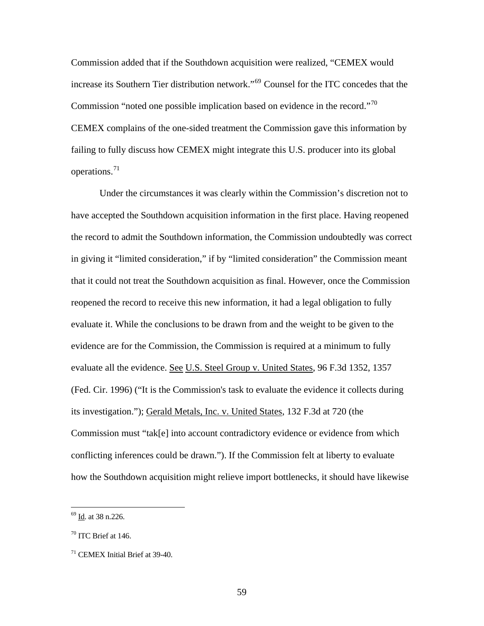Commission added that if the Southdown acquisition were realized, "CEMEX would increase its Southern Tier distribution network."[69](#page-58-0) Counsel for the ITC concedes that the Commission "noted one possible implication based on evidence in the record."<sup>[70](#page-58-1)</sup> CEMEX complains of the one-sided treatment the Commission gave this information by failing to fully discuss how CEMEX might integrate this U.S. producer into its global operations.[71](#page-58-2)

Under the circumstances it was clearly within the Commission's discretion not to have accepted the Southdown acquisition information in the first place. Having reopened the record to admit the Southdown information, the Commission undoubtedly was correct in giving it "limited consideration," if by "limited consideration" the Commission meant that it could not treat the Southdown acquisition as final. However, once the Commission reopened the record to receive this new information, it had a legal obligation to fully evaluate it. While the conclusions to be drawn from and the weight to be given to the evidence are for the Commission, the Commission is required at a minimum to fully evaluate all the evidence. See U.S. Steel Group v. United States, 96 F.3d 1352, 1357 (Fed. Cir. 1996) ("It is the Commission's task to evaluate the evidence it collects during its investigation."); Gerald Metals, Inc. v. United States, 132 F.3d at 720 (the Commission must "tak[e] into account contradictory evidence or evidence from which conflicting inferences could be drawn."). If the Commission felt at liberty to evaluate how the Southdown acquisition might relieve import bottlenecks, it should have likewise

<span id="page-58-0"></span> $69$  Id. at 38 n.226.

<span id="page-58-1"></span> $70$  ITC Brief at 146.

<span id="page-58-2"></span><sup>71</sup> CEMEX Initial Brief at 39-40.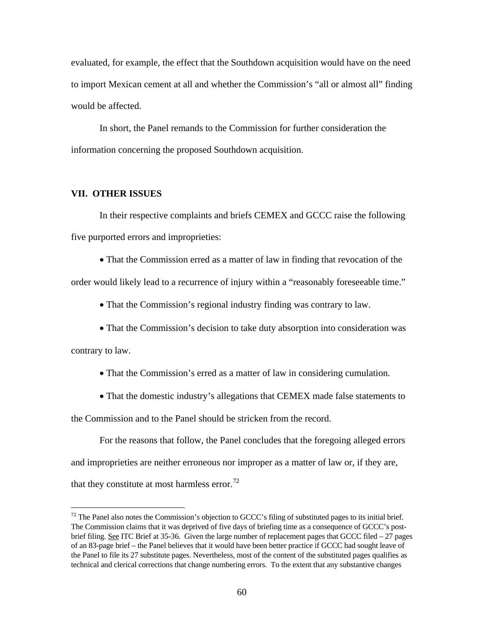evaluated, for example, the effect that the Southdown acquisition would have on the need to import Mexican cement at all and whether the Commission's "all or almost all" finding would be affected.

In short, the Panel remands to the Commission for further consideration the information concerning the proposed Southdown acquisition.

## **VII. OTHER ISSUES**

 In their respective complaints and briefs CEMEX and GCCC raise the following five purported errors and improprieties:

• That the Commission erred as a matter of law in finding that revocation of the

order would likely lead to a recurrence of injury within a "reasonably foreseeable time."

• That the Commission's regional industry finding was contrary to law.

• That the Commission's decision to take duty absorption into consideration was

contrary to law.

 $\overline{a}$ 

• That the Commission's erred as a matter of law in considering cumulation.

• That the domestic industry's allegations that CEMEX made false statements to

the Commission and to the Panel should be stricken from the record.

 For the reasons that follow, the Panel concludes that the foregoing alleged errors and improprieties are neither erroneous nor improper as a matter of law or, if they are, that they constitute at most harmless error.<sup>[72](#page-59-0)</sup>

<span id="page-59-0"></span> $72$  The Panel also notes the Commission's objection to GCCC's filing of substituted pages to its initial brief. The Commission claims that it was deprived of five days of briefing time as a consequence of GCCC's postbrief filing. See ITC Brief at 35-36. Given the large number of replacement pages that GCCC filed – 27 pages of an 83-page brief – the Panel believes that it would have been better practice if GCCC had sought leave of the Panel to file its 27 substitute pages. Nevertheless, most of the content of the substituted pages qualifies as technical and clerical corrections that change numbering errors. To the extent that any substantive changes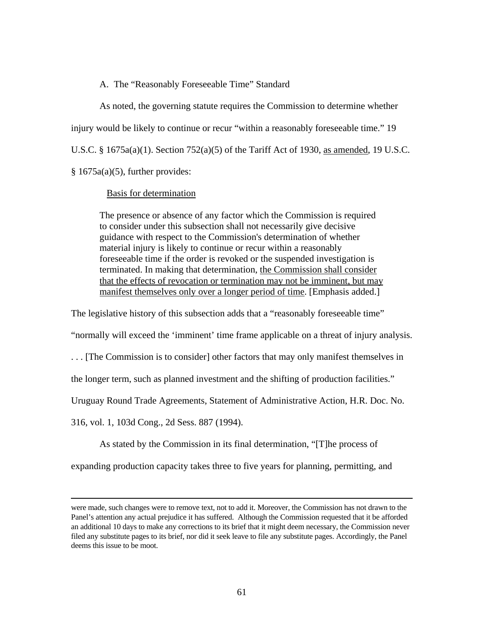A. The "Reasonably Foreseeable Time" Standard

As noted, the governing statute requires the Commission to determine whether injury would be likely to continue or recur "within a reasonably foreseeable time." 19 U.S.C. § 1675a(a)(1). Section 752(a)(5) of the Tariff Act of 1930, as amended, 19 U.S.C.  $§ 1675a(a)(5)$ , further provides:

## Basis for determination

The presence or absence of any factor which the Commission is required to consider under this subsection shall not necessarily give decisive guidance with respect to the Commission's determination of whether material injury is likely to continue or recur within a reasonably foreseeable time if the order is revoked or the suspended investigation is terminated. In making that determination, the Commission shall consider that the effects of revocation or termination may not be imminent, but may manifest themselves only over a longer period of time. [Emphasis added.]

The legislative history of this subsection adds that a "reasonably foreseeable time"

"normally will exceed the 'imminent' time frame applicable on a threat of injury analysis.

. . . [The Commission is to consider] other factors that may only manifest themselves in

the longer term, such as planned investment and the shifting of production facilities."

Uruguay Round Trade Agreements, Statement of Administrative Action, H.R. Doc. No.

316, vol. 1, 103d Cong., 2d Sess. 887 (1994).

 $\overline{a}$ 

As stated by the Commission in its final determination, "[T]he process of

expanding production capacity takes three to five years for planning, permitting, and

were made, such changes were to remove text, not to add it. Moreover, the Commission has not drawn to the Panel's attention any actual prejudice it has suffered. Although the Commission requested that it be afforded an additional 10 days to make any corrections to its brief that it might deem necessary, the Commission never filed any substitute pages to its brief, nor did it seek leave to file any substitute pages. Accordingly, the Panel deems this issue to be moot.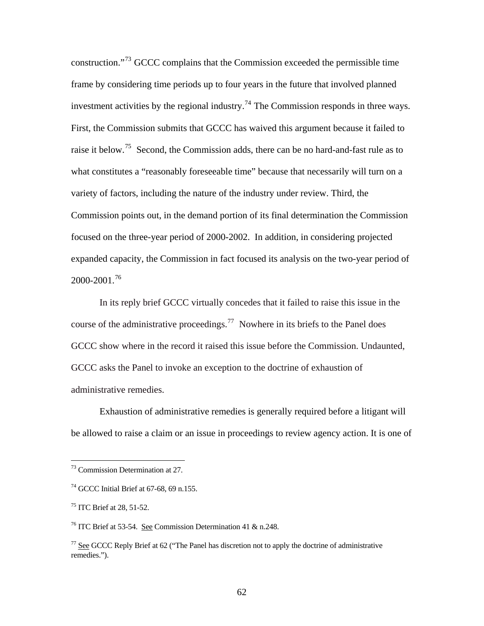construction."[73](#page-61-0) GCCC complains that the Commission exceeded the permissible time frame by considering time periods up to four years in the future that involved planned investment activities by the regional industry.<sup>[74](#page-61-1)</sup> The Commission responds in three ways. First, the Commission submits that GCCC has waived this argument because it failed to raise it below.<sup>[75](#page-61-2)</sup> Second, the Commission adds, there can be no hard-and-fast rule as to what constitutes a "reasonably foreseeable time" because that necessarily will turn on a variety of factors, including the nature of the industry under review. Third, the Commission points out, in the demand portion of its final determination the Commission focused on the three-year period of 2000-2002. In addition, in considering projected expanded capacity, the Commission in fact focused its analysis on the two-year period of 2000-2001.[76](#page-61-3)

In its reply brief GCCC virtually concedes that it failed to raise this issue in the course of the administrative proceedings.<sup>[77](#page-61-4)</sup> Nowhere in its briefs to the Panel does GCCC show where in the record it raised this issue before the Commission. Undaunted, GCCC asks the Panel to invoke an exception to the doctrine of exhaustion of administrative remedies.

Exhaustion of administrative remedies is generally required before a litigant will be allowed to raise a claim or an issue in proceedings to review agency action. It is one of

<span id="page-61-0"></span><sup>73</sup> Commission Determination at 27.

<span id="page-61-1"></span> $74$  GCCC Initial Brief at 67-68, 69 n.155.

<span id="page-61-2"></span> $75$  ITC Brief at 28, 51-52.

<span id="page-61-3"></span><sup>&</sup>lt;sup>76</sup> ITC Brief at 53-54. See Commission Determination 41 & n.248.

<span id="page-61-4"></span> $77$  See GCCC Reply Brief at 62 ("The Panel has discretion not to apply the doctrine of administrative remedies.").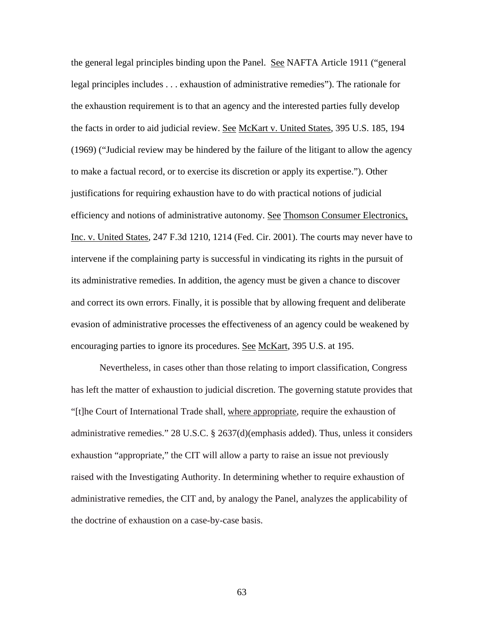the general legal principles binding upon the Panel. See NAFTA Article 1911 ("general legal principles includes . . . exhaustion of administrative remedies"). The rationale for the exhaustion requirement is to that an agency and the interested parties fully develop the facts in order to aid judicial review. See McKart v. United States, 395 U.S. 185, 194 (1969) ("Judicial review may be hindered by the failure of the litigant to allow the agency to make a factual record, or to exercise its discretion or apply its expertise."). Other justifications for requiring exhaustion have to do with practical notions of judicial efficiency and notions of administrative autonomy. See Thomson Consumer Electronics, Inc. v. United States, 247 F.3d 1210, 1214 (Fed. Cir. 2001). The courts may never have to intervene if the complaining party is successful in vindicating its rights in the pursuit of its administrative remedies. In addition, the agency must be given a chance to discover and correct its own errors. Finally, it is possible that by allowing frequent and deliberate evasion of administrative processes the effectiveness of an agency could be weakened by encouraging parties to ignore its procedures. See McKart, 395 U.S. at 195.

Nevertheless, in cases other than those relating to import classification, Congress has left the matter of exhaustion to judicial discretion. The governing statute provides that "[t]he Court of International Trade shall, where appropriate*,* require the exhaustion of administrative remedies." 28 U.S.C. § 2637(d)(emphasis added). Thus, unless it considers exhaustion "appropriate," the CIT will allow a party to raise an issue not previously raised with the Investigating Authority. In determining whether to require exhaustion of administrative remedies, the CIT and, by analogy the Panel, analyzes the applicability of the doctrine of exhaustion on a case-by-case basis.

63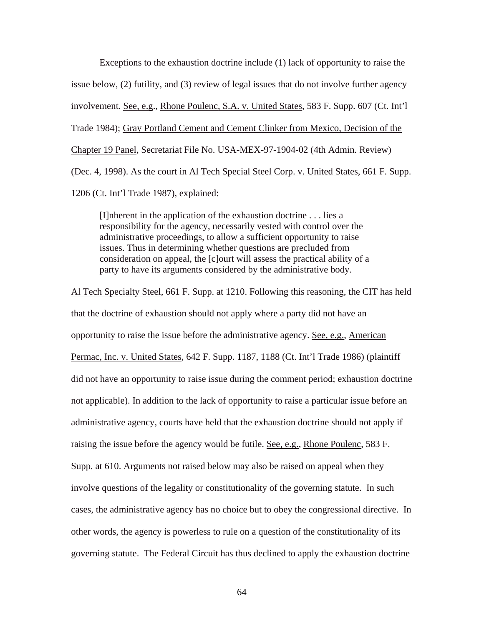Exceptions to the exhaustion doctrine include (1) lack of opportunity to raise the issue below, (2) futility, and (3) review of legal issues that do not involve further agency involvement. See, e.g., Rhone Poulenc, S.A. v. United States, 583 F. Supp. 607 (Ct. Int'l Trade 1984); Gray Portland Cement and Cement Clinker from Mexico, Decision of the Chapter 19 Panel, Secretariat File No. USA-MEX-97-1904-02 (4th Admin. Review) (Dec. 4, 1998). As the court in Al Tech Special Steel Corp. v. United States, 661 F. Supp. 1206 (Ct. Int'l Trade 1987), explained:

[I]nherent in the application of the exhaustion doctrine . . . lies a responsibility for the agency, necessarily vested with control over the administrative proceedings, to allow a sufficient opportunity to raise issues. Thus in determining whether questions are precluded from consideration on appeal, the [c]ourt will assess the practical ability of a party to have its arguments considered by the administrative body.

Al Tech Specialty Steel, 661 F. Supp. at 1210. Following this reasoning, the CIT has held that the doctrine of exhaustion should not apply where a party did not have an opportunity to raise the issue before the administrative agency. See, e.g., American Permac, Inc. v. United States*,* 642 F. Supp. 1187, 1188 (Ct. Int'l Trade 1986) (plaintiff did not have an opportunity to raise issue during the comment period; exhaustion doctrine not applicable). In addition to the lack of opportunity to raise a particular issue before an administrative agency, courts have held that the exhaustion doctrine should not apply if raising the issue before the agency would be futile. See, e.g., Rhone Poulenc, 583 F. Supp. at 610. Arguments not raised below may also be raised on appeal when they involve questions of the legality or constitutionality of the governing statute. In such cases, the administrative agency has no choice but to obey the congressional directive. In other words, the agency is powerless to rule on a question of the constitutionality of its governing statute. The Federal Circuit has thus declined to apply the exhaustion doctrine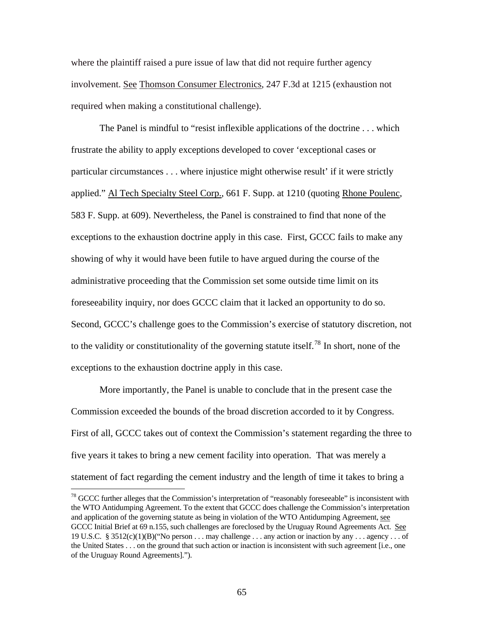where the plaintiff raised a pure issue of law that did not require further agency involvement. See Thomson Consumer Electronics, 247 F.3d at 1215 (exhaustion not required when making a constitutional challenge).

The Panel is mindful to "resist inflexible applications of the doctrine . . . which frustrate the ability to apply exceptions developed to cover 'exceptional cases or particular circumstances . . . where injustice might otherwise result' if it were strictly applied." Al Tech Specialty Steel Corp., 661 F. Supp. at 1210 (quoting Rhone Poulenc, 583 F. Supp. at 609). Nevertheless, the Panel is constrained to find that none of the exceptions to the exhaustion doctrine apply in this case. First, GCCC fails to make any showing of why it would have been futile to have argued during the course of the administrative proceeding that the Commission set some outside time limit on its foreseeability inquiry, nor does GCCC claim that it lacked an opportunity to do so. Second, GCCC's challenge goes to the Commission's exercise of statutory discretion, not to the validity or constitutionality of the governing statute itself.<sup>[78](#page-64-0)</sup> In short, none of the exceptions to the exhaustion doctrine apply in this case.

More importantly, the Panel is unable to conclude that in the present case the Commission exceeded the bounds of the broad discretion accorded to it by Congress. First of all, GCCC takes out of context the Commission's statement regarding the three to five years it takes to bring a new cement facility into operation. That was merely a statement of fact regarding the cement industry and the length of time it takes to bring a

<span id="page-64-0"></span><sup>&</sup>lt;sup>78</sup> GCCC further alleges that the Commission's interpretation of "reasonably foreseeable" is inconsistent with the WTO Antidumping Agreement. To the extent that GCCC does challenge the Commission's interpretation and application of the governing statute as being in violation of the WTO Antidumping Agreement, see GCCC Initial Brief at 69 n.155, such challenges are foreclosed by the Uruguay Round Agreements Act. See 19 U.S.C. § 3512(c)(1)(B)("No person . . . may challenge . . . any action or inaction by any . . . agency . . . of the United States . . . on the ground that such action or inaction is inconsistent with such agreement [i.e., one of the Uruguay Round Agreements].").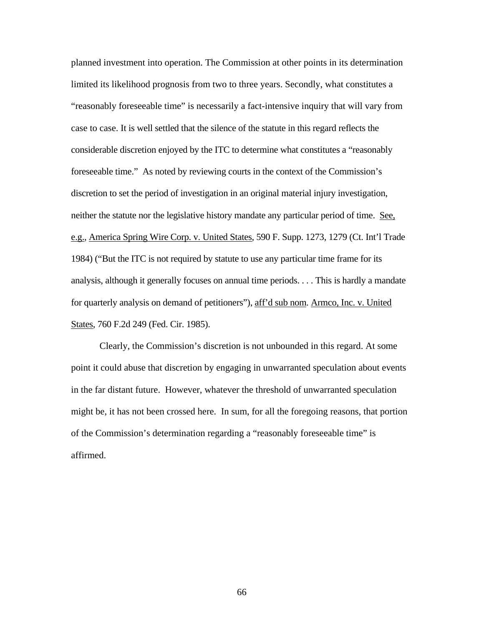planned investment into operation. The Commission at other points in its determination limited its likelihood prognosis from two to three years. Secondly, what constitutes a "reasonably foreseeable time" is necessarily a fact-intensive inquiry that will vary from case to case. It is well settled that the silence of the statute in this regard reflects the considerable discretion enjoyed by the ITC to determine what constitutes a "reasonably foreseeable time." As noted by reviewing courts in the context of the Commission's discretion to set the period of investigation in an original material injury investigation, neither the statute nor the legislative history mandate any particular period of time. See, e.g., America Spring Wire Corp. v. United States, 590 F. Supp. 1273, 1279 (Ct. Int'l Trade 1984) ("But the ITC is not required by statute to use any particular time frame for its analysis, although it generally focuses on annual time periods. . . . This is hardly a mandate for quarterly analysis on demand of petitioners"), aff'd sub nom. Armco, Inc. v. United States, 760 F.2d 249 (Fed. Cir. 1985).

Clearly, the Commission's discretion is not unbounded in this regard. At some point it could abuse that discretion by engaging in unwarranted speculation about events in the far distant future. However, whatever the threshold of unwarranted speculation might be, it has not been crossed here. In sum, for all the foregoing reasons, that portion of the Commission's determination regarding a "reasonably foreseeable time" is affirmed.

66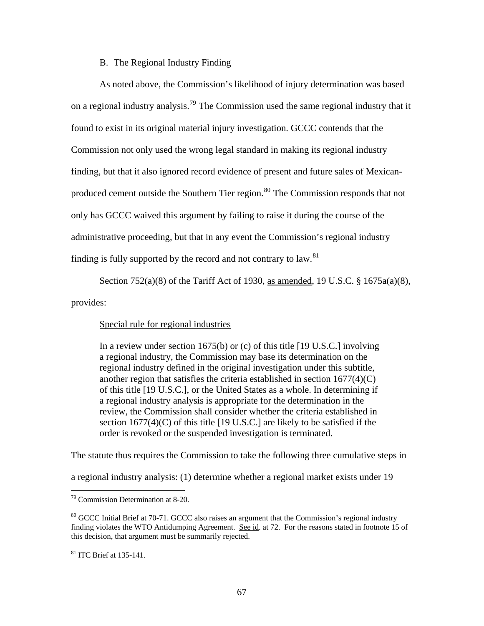## B. The Regional Industry Finding

As noted above, the Commission's likelihood of injury determination was based on a regional industry analysis.<sup>[79](#page-66-0)</sup> The Commission used the same regional industry that it found to exist in its original material injury investigation. GCCC contends that the Commission not only used the wrong legal standard in making its regional industry finding, but that it also ignored record evidence of present and future sales of Mexican-produced cement outside the Southern Tier region.<sup>[80](#page-66-1)</sup> The Commission responds that not only has GCCC waived this argument by failing to raise it during the course of the administrative proceeding, but that in any event the Commission's regional industry finding is fully supported by the record and not contrary to  $law$ <sup>[81](#page-66-2)</sup>

Section 752(a)(8) of the Tariff Act of 1930, as amended, 19 U.S.C. § 1675a(a)(8),

provides:

Special rule for regional industries

In a review under [section 1675\(b\)](http://web2.westlaw.com/find/default.wl?DB=1000546&DocName=19USCAS1675&FindType=L&ReferencePositionType=T&ReferencePosition=SP%3Ba83b000018c76&AP=&mt=LawSchoolPractitioner&fn=_top&sv=Split&vr=2.0&rs=WLW5.04) or [\(c\)](http://web2.westlaw.com/find/default.wl?DB=1000546&DocName=19USCAS1675&FindType=L&ReferencePositionType=T&ReferencePosition=SP%3B4b24000003ba5&AP=&mt=LawSchoolPractitioner&fn=_top&sv=Split&vr=2.0&rs=WLW5.04) of this title [19 U.S.C.] involving a regional industry, the Commission may base its determination on the regional industry defined in the original investigation under this subtitle, another region that satisfies the criteria established in section  $1677(4)(C)$ of this title [19 U.S.C.], or the United States as a whole. In determining if a regional industry analysis is appropriate for the determination in the review, the Commission shall consider whether the criteria established in [section 1677\(4\)\(C\)](http://web2.westlaw.com/find/default.wl?DB=1000546&DocName=19USCAS1677&FindType=L&ReferencePositionType=T&ReferencePosition=SP%3B280b00002e793&AP=&mt=LawSchoolPractitioner&fn=_top&sv=Split&vr=2.0&rs=WLW5.04) of this title [19 U.S.C.] are likely to be satisfied if the order is revoked or the suspended investigation is terminated.

The statute thus requires the Commission to take the following three cumulative steps in

a regional industry analysis: (1) determine whether a regional market exists under 19

<span id="page-66-0"></span><sup>79</sup> Commission Determination at 8-20.

<span id="page-66-1"></span><sup>&</sup>lt;sup>80</sup> GCCC Initial Brief at 70-71. GCCC also raises an argument that the Commission's regional industry finding violates the WTO Antidumping Agreement. See id. at 72. For the reasons stated in footnote 15 of this decision, that argument must be summarily rejected.

<span id="page-66-2"></span><sup>81</sup> ITC Brief at 135-141.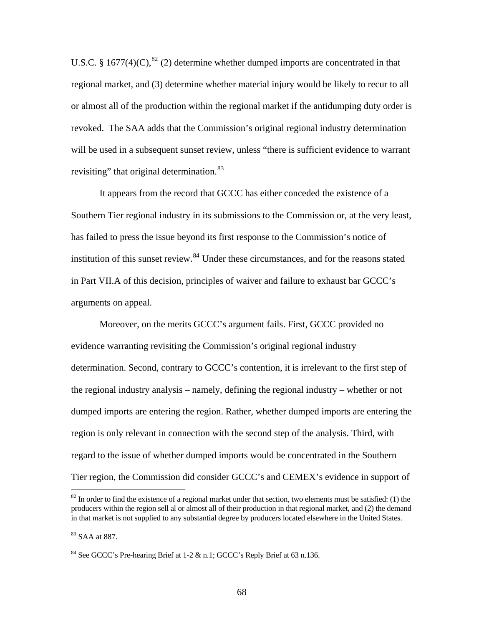U.S.C. § 1677(4)(C), ${}^{82}$  ${}^{82}$  ${}^{82}$  (2) determine whether dumped imports are concentrated in that regional market, and (3) determine whether material injury would be likely to recur to all or almost all of the production within the regional market if the antidumping duty order is revoked. The SAA adds that the Commission's original regional industry determination will be used in a subsequent sunset review, unless "there is sufficient evidence to warrant revisiting" that original determination.<sup>[83](#page-67-1)</sup>

 It appears from the record that GCCC has either conceded the existence of a Southern Tier regional industry in its submissions to the Commission or, at the very least, has failed to press the issue beyond its first response to the Commission's notice of institution of this sunset review.<sup>[84](#page-67-2)</sup> Under these circumstances, and for the reasons stated in Part VII.A of this decision, principles of waiver and failure to exhaust bar GCCC's arguments on appeal.

 Moreover, on the merits GCCC's argument fails. First, GCCC provided no evidence warranting revisiting the Commission's original regional industry determination. Second, contrary to GCCC's contention, it is irrelevant to the first step of the regional industry analysis – namely, defining the regional industry – whether or not dumped imports are entering the region. Rather, whether dumped imports are entering the region is only relevant in connection with the second step of the analysis. Third, with regard to the issue of whether dumped imports would be concentrated in the Southern Tier region, the Commission did consider GCCC's and CEMEX's evidence in support of

<span id="page-67-0"></span> $82$  In order to find the existence of a regional market under that section, two elements must be satisfied: (1) the producers within the region sell al or almost all of their production in that regional market, and (2) the demand in that market is not supplied to any substantial degree by producers located elsewhere in the United States.

<span id="page-67-1"></span><sup>83</sup> SAA at 887.

<span id="page-67-2"></span> $84$  See GCCC's Pre-hearing Brief at 1-2 & n.1; GCCC's Reply Brief at 63 n.136.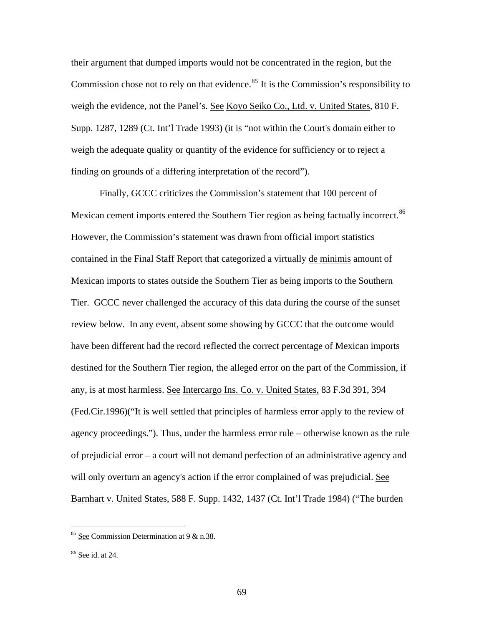their argument that dumped imports would not be concentrated in the region, but the Commission chose not to rely on that evidence.<sup>[85](#page-68-0)</sup> It is the Commission's responsibility to weigh the evidence, not the Panel's. See Koyo Seiko Co., Ltd. v. United States, 810 F. Supp. 1287, 1289 (Ct. Int'l Trade 1993) (it is "not within the Court's domain either to weigh the adequate quality or quantity of the evidence for sufficiency or to reject a finding on grounds of a differing interpretation of the record").

Finally, GCCC criticizes the Commission's statement that 100 percent of Mexican cement imports entered the Southern Tier region as being factually incorrect.<sup>[86](#page-68-1)</sup> However, the Commission's statement was drawn from official import statistics contained in the Final Staff Report that categorized a virtually de minimis amount of Mexican imports to states outside the Southern Tier as being imports to the Southern Tier. GCCC never challenged the accuracy of this data during the course of the sunset review below. In any event, absent some showing by GCCC that the outcome would have been different had the record reflected the correct percentage of Mexican imports destined for the Southern Tier region, the alleged error on the part of the Commission, if any, is at most harmless. See [Intercargo Ins. Co. v. United States, 83 F.3d 391, 394](http://web2.westlaw.com/find/default.wl?DB=506&SerialNum=1996107428&FindType=Y&ReferencePositionType=S&ReferencePosition=394&AP=&mt=LawSchoolPractitioner&fn=_top&sv=Split&vr=2.0&rs=WLW5.04)  [\(Fed.Cir.1996\)](http://web2.westlaw.com/find/default.wl?DB=506&SerialNum=1996107428&FindType=Y&ReferencePositionType=S&ReferencePosition=394&AP=&mt=LawSchoolPractitioner&fn=_top&sv=Split&vr=2.0&rs=WLW5.04)("It is well settled that principles of harmless error apply to the review of agency proceedings."). Thus, under the harmless error rule – otherwise known as the rule of prejudicial error – a court will not demand perfection of an administrative agency and will only overturn an agency's action if the error complained of was prejudicial. See Barnhart v. United States, 588 F. Supp. 1432, 1437 (Ct. Int'l Trade 1984) ("The burden

<span id="page-68-0"></span><sup>&</sup>lt;sup>85</sup> See Commission Determination at 9  $\&$  n.38.

<span id="page-68-1"></span><sup>86</sup> See id. at 24.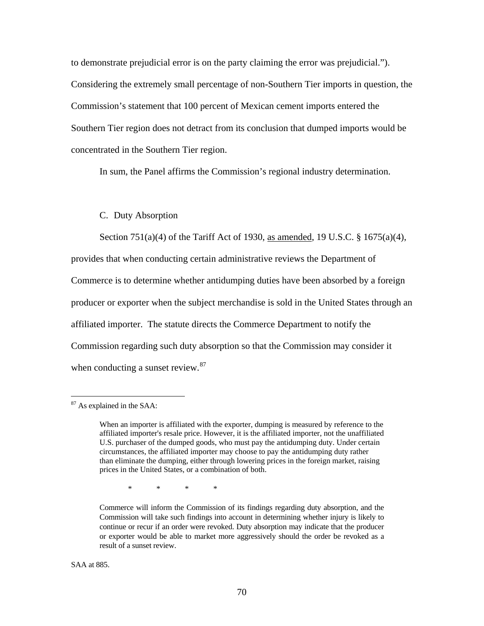to demonstrate prejudicial error is on the party claiming the error was prejudicial."). Considering the extremely small percentage of non-Southern Tier imports in question, the Commission's statement that 100 percent of Mexican cement imports entered the Southern Tier region does not detract from its conclusion that dumped imports would be concentrated in the Southern Tier region.

In sum, the Panel affirms the Commission's regional industry determination.

#### C. Duty Absorption

Section 751(a)(4) of the Tariff Act of 1930, as amended, 19 U.S.C. § 1675(a)(4), provides that when conducting certain administrative reviews the Department of Commerce is to determine whether antidumping duties have been absorbed by a foreign producer or exporter when the subject merchandise is sold in the United States through an affiliated importer. The statute directs the Commerce Department to notify the Commission regarding such duty absorption so that the Commission may consider it when conducting a sunset review.<sup>[87](#page-69-0)</sup>

<span id="page-69-0"></span><sup>87</sup> As explained in the SAA:

When an importer is affiliated with the exporter, dumping is measured by reference to the affiliated importer's resale price. However, it is the affiliated importer, not the unaffiliated U.S. purchaser of the dumped goods, who must pay the antidumping duty. Under certain circumstances, the affiliated importer may choose to pay the antidumping duty rather than eliminate the dumping, either through lowering prices in the foreign market, raising prices in the United States, or a combination of both.

 <sup>\* \* \* \*</sup> 

Commerce will inform the Commission of its findings regarding duty absorption, and the Commission will take such findings into account in determining whether injury is likely to continue or recur if an order were revoked. Duty absorption may indicate that the producer or exporter would be able to market more aggressively should the order be revoked as a result of a sunset review.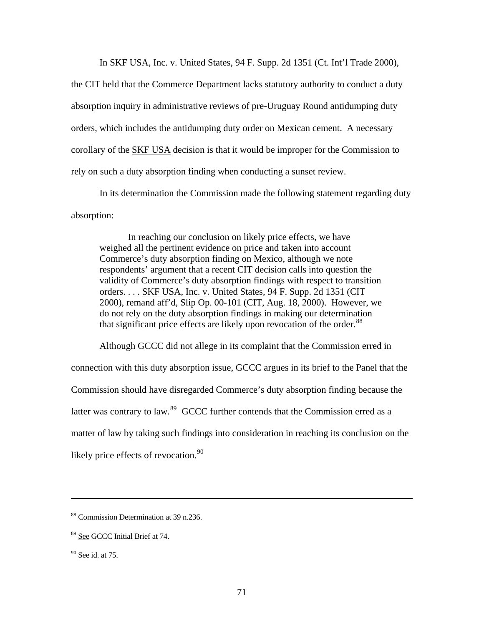In SKF USA, Inc. v. United States, 94 F. Supp. 2d 1351 (Ct. Int'l Trade 2000),

the CIT held that the Commerce Department lacks statutory authority to conduct a duty absorption inquiry in administrative reviews of pre-Uruguay Round antidumping duty orders, which includes the antidumping duty order on Mexican cement. A necessary corollary of the SKF USA decision is that it would be improper for the Commission to rely on such a duty absorption finding when conducting a sunset review.

In its determination the Commission made the following statement regarding duty absorption:

In reaching our conclusion on likely price effects, we have weighed all the pertinent evidence on price and taken into account Commerce's duty absorption finding on Mexico, although we note respondents' argument that a recent CIT decision calls into question the validity of Commerce's duty absorption findings with respect to transition orders. . . . SKF USA, Inc. v. United States, 94 F. Supp. 2d 1351 (CIT 2000), remand aff'd, Slip Op. 00-101 (CIT, Aug. 18, 2000). However, we do not rely on the duty absorption findings in making our determination that significant price effects are likely upon revocation of the order. $88$ 

 Although GCCC did not allege in its complaint that the Commission erred in connection with this duty absorption issue, GCCC argues in its brief to the Panel that the Commission should have disregarded Commerce's duty absorption finding because the latter was contrary to law.<sup>[89](#page-70-1)</sup> GCCC further contends that the Commission erred as a matter of law by taking such findings into consideration in reaching its conclusion on the likely price effects of revocation.<sup>[90](#page-70-2)</sup>

<span id="page-70-0"></span><sup>88</sup> Commission Determination at 39 n.236.

<span id="page-70-1"></span><sup>89</sup> See GCCC Initial Brief at 74.

<span id="page-70-2"></span> $90$  See id. at 75.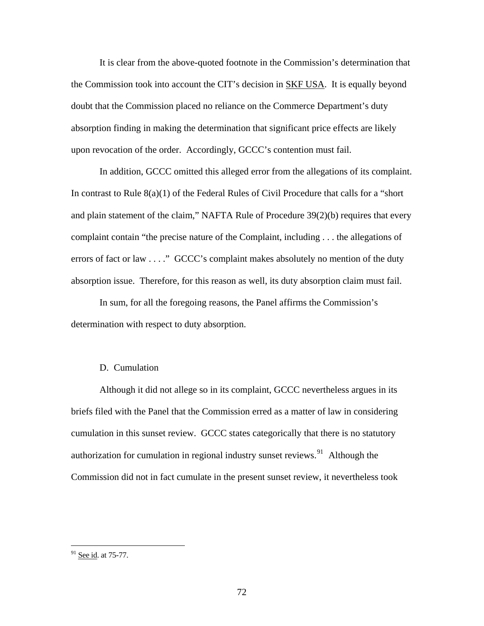It is clear from the above-quoted footnote in the Commission's determination that the Commission took into account the CIT's decision in SKF USA. It is equally beyond doubt that the Commission placed no reliance on the Commerce Department's duty absorption finding in making the determination that significant price effects are likely upon revocation of the order. Accordingly, GCCC's contention must fail.

In addition, GCCC omitted this alleged error from the allegations of its complaint. In contrast to Rule 8(a)(1) of the Federal Rules of Civil Procedure that calls for a "short and plain statement of the claim," NAFTA Rule of Procedure 39(2)(b) requires that every complaint contain "the precise nature of the Complaint, including . . . the allegations of errors of fact or law . . . ." GCCC's complaint makes absolutely no mention of the duty absorption issue. Therefore, for this reason as well, its duty absorption claim must fail.

In sum, for all the foregoing reasons, the Panel affirms the Commission's determination with respect to duty absorption.

### D. Cumulation

Although it did not allege so in its complaint, GCCC nevertheless argues in its briefs filed with the Panel that the Commission erred as a matter of law in considering cumulation in this sunset review. GCCC states categorically that there is no statutory authorization for cumulation in regional industry sunset reviews.<sup>[91](#page-71-0)</sup> Although the Commission did not in fact cumulate in the present sunset review, it nevertheless took

<span id="page-71-0"></span> $91$  See id. at 75-77.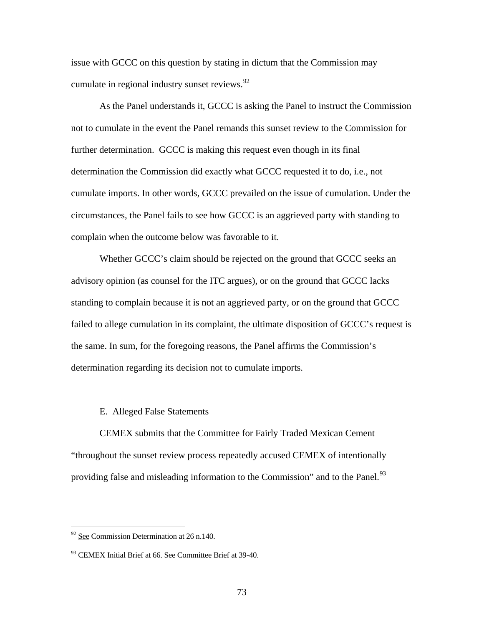issue with GCCC on this question by stating in dictum that the Commission may cumulate in regional industry sunset reviews.<sup>[92](#page-72-0)</sup>

As the Panel understands it, GCCC is asking the Panel to instruct the Commission not to cumulate in the event the Panel remands this sunset review to the Commission for further determination. GCCC is making this request even though in its final determination the Commission did exactly what GCCC requested it to do, i.e., not cumulate imports. In other words, GCCC prevailed on the issue of cumulation. Under the circumstances, the Panel fails to see how GCCC is an aggrieved party with standing to complain when the outcome below was favorable to it.

Whether GCCC's claim should be rejected on the ground that GCCC seeks an advisory opinion (as counsel for the ITC argues), or on the ground that GCCC lacks standing to complain because it is not an aggrieved party, or on the ground that GCCC failed to allege cumulation in its complaint, the ultimate disposition of GCCC's request is the same. In sum, for the foregoing reasons, the Panel affirms the Commission's determination regarding its decision not to cumulate imports.

## E. Alleged False Statements

 CEMEX submits that the Committee for Fairly Traded Mexican Cement "throughout the sunset review process repeatedly accused CEMEX of intentionally providing false and misleading information to the Commission" and to the Panel.<sup>[93](#page-72-1)</sup>

 $\overline{a}$ 

<span id="page-72-0"></span> $92$  See Commission Determination at 26 n.140.

<span id="page-72-1"></span><sup>&</sup>lt;sup>93</sup> CEMEX Initial Brief at 66. See Committee Brief at 39-40.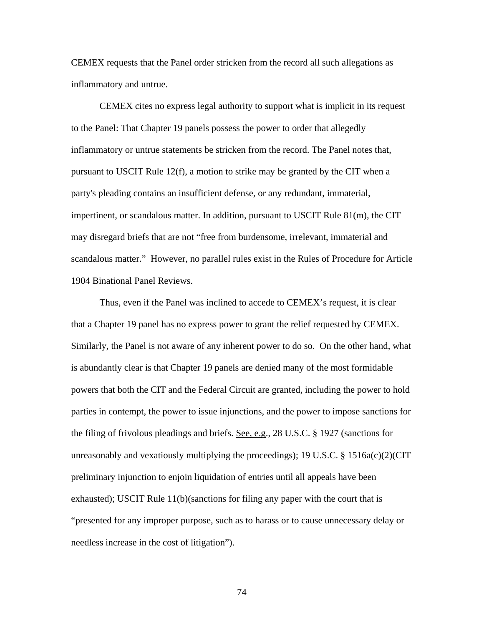CEMEX requests that the Panel order stricken from the record all such allegations as inflammatory and untrue.

 CEMEX cites no express legal authority to support what is implicit in its request to the Panel: That Chapter 19 panels possess the power to order that allegedly inflammatory or untrue statements be stricken from the record. The Panel notes that, pursuant to USCIT Rule 12(f), a motion to strike may be granted by the CIT when a party's pleading contains an insufficient defense, or any redundant, immaterial, impertinent, or scandalous matter. In addition, pursuant to USCIT [Rule 81\(m\)](http://web2.westlaw.com/find/default.wl?DB=1004365&DocName=USCITR81&FindType=L&AP=&mt=LawSchoolPractitioner&fn=_top&sv=Split&vr=2.0&rs=WLW5.04), the CIT may disregard briefs that are not "free from burdensome, irrelevant, immaterial and scandalous matter." However, no parallel rules exist in the Rules of Procedure for Article 1904 Binational Panel Reviews.

Thus, even if the Panel was inclined to accede to CEMEX's request, it is clear that a Chapter 19 panel has no express power to grant the relief requested by CEMEX. Similarly, the Panel is not aware of any inherent power to do so. On the other hand, what is abundantly clear is that Chapter 19 panels are denied many of the most formidable powers that both the CIT and the Federal Circuit are granted, including the power to hold parties in contempt, the power to issue injunctions, and the power to impose sanctions for the filing of frivolous pleadings and briefs. See, e.g., 28 U.S.C. § 1927 (sanctions for unreasonably and vexatiously multiplying the proceedings); 19 U.S.C.  $\S$  1516a(c)(2)(CIT preliminary injunction to enjoin liquidation of entries until all appeals have been exhausted); USCIT Rule 11(b)(sanctions for filing any paper with the court that is "presented for any improper purpose, such as to harass or to cause unnecessary delay or needless increase in the cost of litigation").

74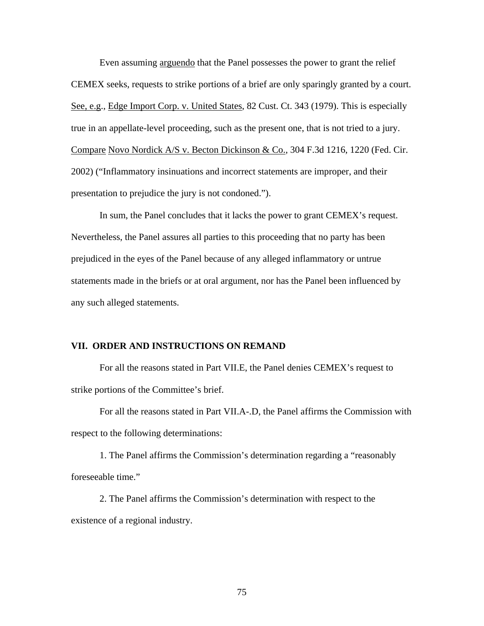Even assuming arguendo that the Panel possesses the power to grant the relief CEMEX seeks, requests to strike portions of a brief are only sparingly granted by a court. See, e.g., Edge Import Corp. v. United States, 82 Cust. Ct. 343 (1979). This is especially true in an appellate-level proceeding, such as the present one, that is not tried to a jury. Compare Novo Nordick A/S v. Becton Dickinson & Co., 304 F.3d 1216, 1220 (Fed. Cir. 2002) ("Inflammatory insinuations and incorrect statements are improper, and their presentation to prejudice the jury is not condoned.").

In sum, the Panel concludes that it lacks the power to grant CEMEX's request. Nevertheless, the Panel assures all parties to this proceeding that no party has been prejudiced in the eyes of the Panel because of any alleged inflammatory or untrue statements made in the briefs or at oral argument, nor has the Panel been influenced by any such alleged statements.

## **VII. ORDER AND INSTRUCTIONS ON REMAND**

For all the reasons stated in Part VII.E, the Panel denies CEMEX's request to strike portions of the Committee's brief.

For all the reasons stated in Part VII.A-.D, the Panel affirms the Commission with respect to the following determinations:

1. The Panel affirms the Commission's determination regarding a "reasonably foreseeable time."

2. The Panel affirms the Commission's determination with respect to the existence of a regional industry.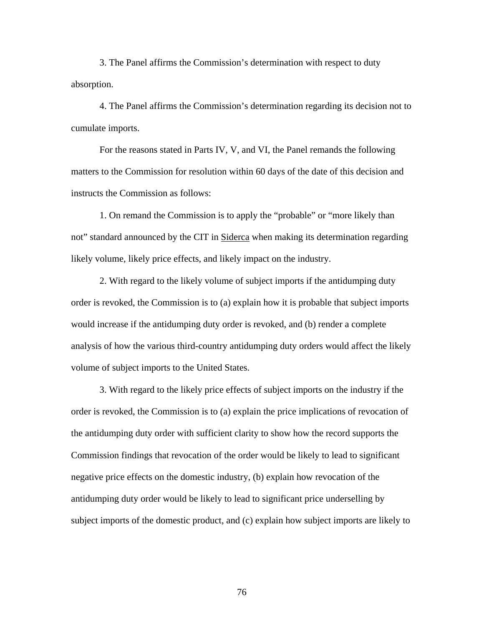3. The Panel affirms the Commission's determination with respect to duty absorption.

4. The Panel affirms the Commission's determination regarding its decision not to cumulate imports.

For the reasons stated in Parts IV, V, and VI, the Panel remands the following matters to the Commission for resolution within 60 days of the date of this decision and instructs the Commission as follows:

1. On remand the Commission is to apply the "probable" or "more likely than not" standard announced by the CIT in Siderca when making its determination regarding likely volume, likely price effects, and likely impact on the industry.

2. With regard to the likely volume of subject imports if the antidumping duty order is revoked, the Commission is to (a) explain how it is probable that subject imports would increase if the antidumping duty order is revoked, and (b) render a complete analysis of how the various third-country antidumping duty orders would affect the likely volume of subject imports to the United States.

3. With regard to the likely price effects of subject imports on the industry if the order is revoked, the Commission is to (a) explain the price implications of revocation of the antidumping duty order with sufficient clarity to show how the record supports the Commission findings that revocation of the order would be likely to lead to significant negative price effects on the domestic industry, (b) explain how revocation of the antidumping duty order would be likely to lead to significant price underselling by subject imports of the domestic product, and (c) explain how subject imports are likely to

76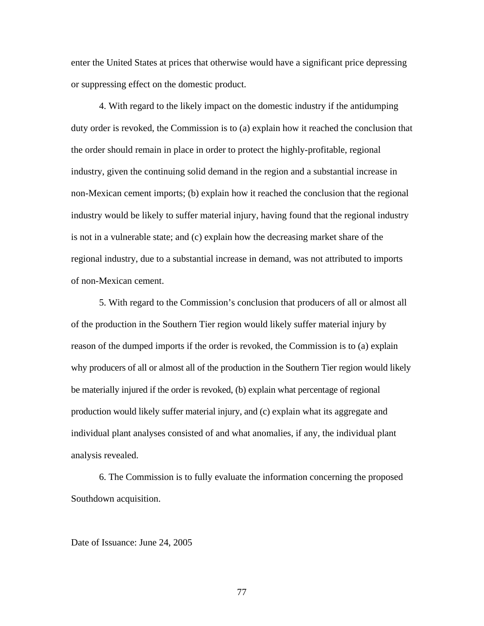enter the United States at prices that otherwise would have a significant price depressing or suppressing effect on the domestic product.

4. With regard to the likely impact on the domestic industry if the antidumping duty order is revoked, the Commission is to (a) explain how it reached the conclusion that the order should remain in place in order to protect the highly-profitable, regional industry, given the continuing solid demand in the region and a substantial increase in non-Mexican cement imports; (b) explain how it reached the conclusion that the regional industry would be likely to suffer material injury, having found that the regional industry is not in a vulnerable state; and (c) explain how the decreasing market share of the regional industry, due to a substantial increase in demand, was not attributed to imports of non-Mexican cement.

5. With regard to the Commission's conclusion that producers of all or almost all of the production in the Southern Tier region would likely suffer material injury by reason of the dumped imports if the order is revoked, the Commission is to (a) explain why producers of all or almost all of the production in the Southern Tier region would likely be materially injured if the order is revoked, (b) explain what percentage of regional production would likely suffer material injury, and (c) explain what its aggregate and individual plant analyses consisted of and what anomalies, if any, the individual plant analysis revealed.

6. The Commission is to fully evaluate the information concerning the proposed Southdown acquisition.

Date of Issuance: June 24, 2005

77